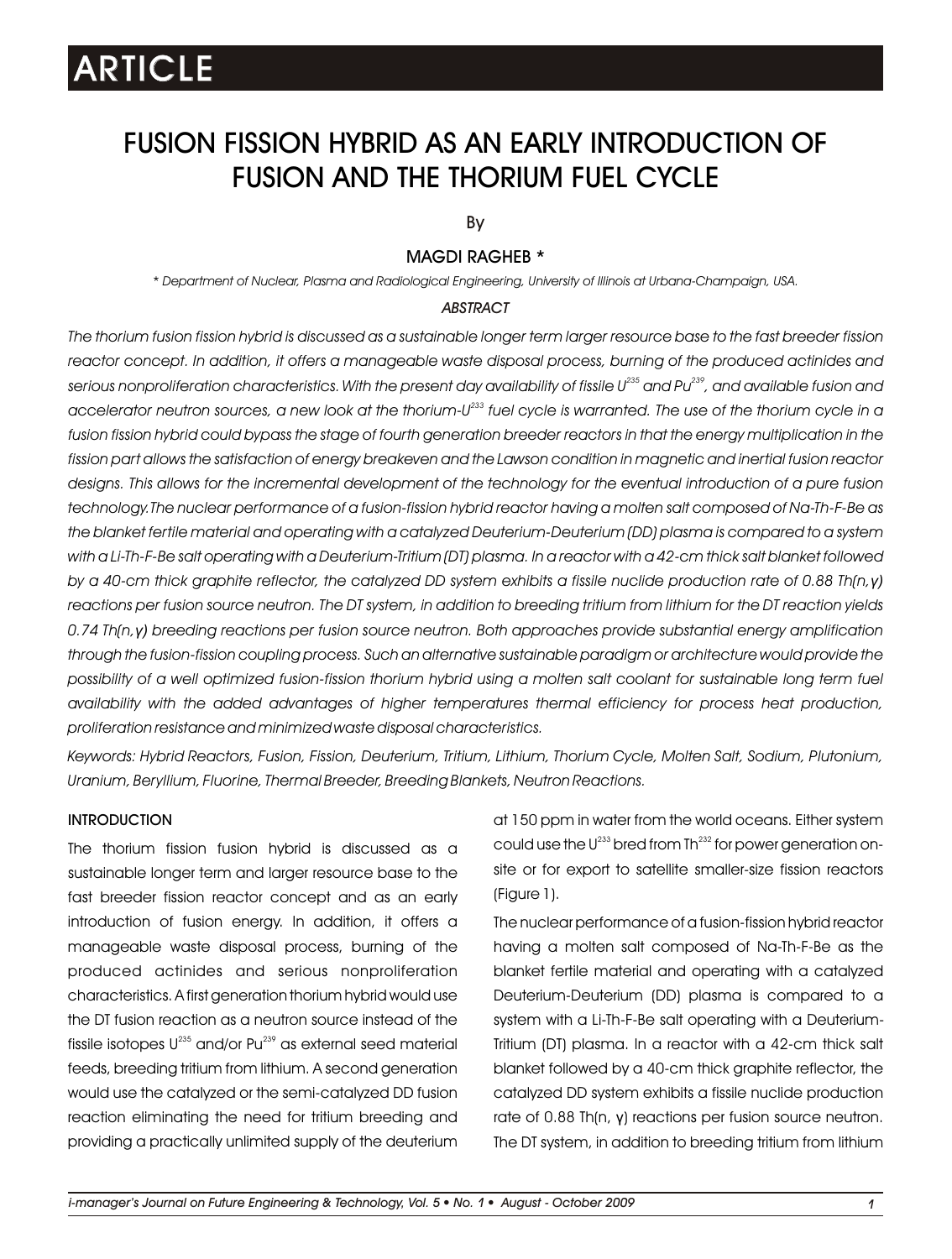# FUSION FISSION HYBRID AS AN EARLY INTRODUCTION OF FUSION AND THE THORIUM FUEL CYCLE

By

### MAGDI RAGHEB \*

*\* Department of Nuclear, Plasma and Radiological Engineering, University of Illinois at Urbana-Champaign, USA.*

### *ABSTRACT*

*The thorium fusion fission hybrid is discussed as a sustainable longer term larger resource base to the fast breeder fission*  reactor concept. In addition, it offers a manageable waste disposal process, burning of the produced actinides and *235 239 serious nonproliferation characteristics. With the present day availability of fissile U and Pu , and available fusion and 233 accelerator neutron sources, a new look at the thorium-U fuel cycle is warranted. The use of the thorium cycle in a fusion fission hybrid could bypass the stage of fourth generation breeder reactors in that the energy multiplication in the fission part allows the satisfaction of energy breakeven and the Lawson condition in magnetic and inertial fusion reactor designs. This allows for the incremental development of the technology for the eventual introduction of a pure fusion technology.The nuclear performance of a fusion-fission hybrid reactor having a molten salt composed of Na-Th-F-Be as the blanket fertile material and operating with a catalyzed Deuterium-Deuterium (DD) plasma is compared to a system with a Li-Th-F-Be salt operating with a Deuterium-Tritium (DT) plasma. In a reactor with a 42-cm thick salt blanket followed by a 40-cm thick graphite reflector, the catalyzed DD system exhibits a fissile nuclide production rate of 0.88 Th(n,γ) reactions per fusion source neutron. The DT system, in addition to breeding tritium from lithium for the DT reaction yields 0.74 Th(n,γ) breeding reactions per fusion source neutron. Both approaches provide substantial energy amplification through the fusion-fission coupling process. Such an alternative sustainable paradigm or architecture would provide the possibility of a well optimized fusion-fission thorium hybrid using a molten salt coolant for sustainable long term fuel availability with the added advantages of higher temperatures thermal efficiency for process heat production, proliferation resistance and minimized waste disposal characteristics.*

*Keywords: Hybrid Reactors, Fusion, Fission, Deuterium, Tritium, Lithium, Thorium Cycle, Molten Salt, Sodium, Plutonium, Uranium, Beryllium, Fluorine, Thermal Breeder, Breeding Blankets, Neutron Reactions.*

### **INTRODUCTION**

The thorium fission fusion hybrid is discussed as a sustainable longer term and larger resource base to the fast breeder fission reactor concept and as an early introduction of fusion energy. In addition, it offers a manageable waste disposal process, burning of the produced actinides and serious nonproliferation characteristics. A first generation thorium hybrid would use the DT fusion reaction as a neutron source instead of the fissile isotopes  $\sf U^{235}$  and/or  $\sf Pu^{239}$  as external seed material feeds, breeding tritium from lithium. A second generation would use the catalyzed or the semi-catalyzed DD fusion reaction eliminating the need for tritium breeding and providing a practically unlimited supply of the deuterium at 150 ppm in water from the world oceans. Either system could use the  $U^{233}$  bred from Th $^{232}$  for power generation onsite or for export to satellite smaller-size fission reactors (Figure 1).

The nuclear performance of a fusion-fission hybrid reactor having a molten salt composed of Na-Th-F-Be as the blanket fertile material and operating with a catalyzed Deuterium-Deuterium (DD) plasma is compared to a system with a Li-Th-F-Be salt operating with a Deuterium-Tritium (DT) plasma. In a reactor with a 42-cm thick salt blanket followed by a 40-cm thick graphite reflector, the catalyzed DD system exhibits a fissile nuclide production rate of 0.88 Th(n, γ) reactions per fusion source neutron. The DT system, in addition to breeding tritium from lithium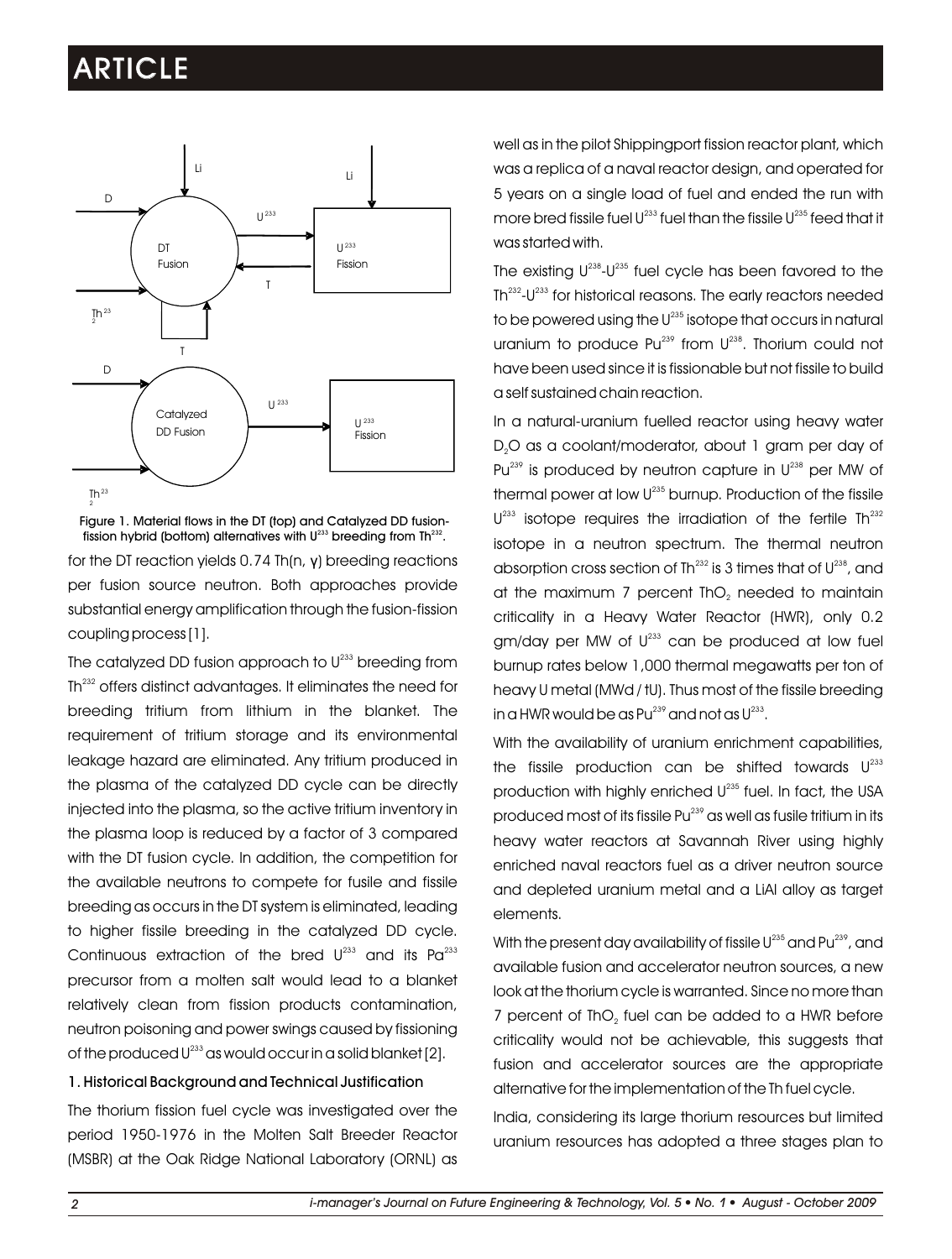

Figure 1. Material flows in the DT (top) and Catalyzed DD fusionfission hybrid (bottom) alternatives with  $U^{233}$  breeding from Th $^{232}$ .

for the DT reaction yields 0.74 Th(n, γ) breeding reactions per fusion source neutron. Both approaches provide substantial energy amplification through the fusion-fission coupling process [1].

The catalyzed DD fusion approach to  ${\sf U}^{\scriptscriptstyle 233}$  breeding from Th<sup>232</sup> offers distinct advantages. It eliminates the need for breeding tritium from lithium in the blanket. The requirement of tritium storage and its environmental leakage hazard are eliminated. Any tritium produced in the plasma of the catalyzed DD cycle can be directly injected into the plasma, so the active tritium inventory in the plasma loop is reduced by a factor of 3 compared with the DT fusion cycle. In addition, the competition for the available neutrons to compete for fusile and fissile breeding as occurs in the DT system is eliminated, leading to higher fissile breeding in the catalyzed DD cycle. Continuous extraction of the bred  $U^{233}$  and its Pa<sup>233</sup> precursor from a molten salt would lead to a blanket relatively clean from fission products contamination, neutron poisoning and power swings caused by fissioning of the produced U $^{233}$  as would occur in a solid blanket [2].

1. Historical Background and Technical Justification

The thorium fission fuel cycle was investigated over the period 1950-1976 in the Molten Salt Breeder Reactor (MSBR) at the Oak Ridge National Laboratory (ORNL) as well as in the pilot Shippingport fission reactor plant, which was a replica of a naval reactor design, and operated for 5 years on a single load of fuel and ended the run with more bred fissile fuel  $U^{233}$  fuel than the fissile  $U^{235}$  feed that it was started with.

The existing  $U^{238}\text{-}U^{235}$  fuel cycle has been favored to the Th<sup>232</sup>-U<sup>233</sup> for historical reasons. The early reactors needed to be powered using the U $^{235}$  isotope that occurs in natural uranium to produce  $Pu^{239}$  from  $U^{238}$ . Thorium could not have been used since it is fissionable but not fissile to build a self sustained chain reaction.

In a natural-uranium fuelled reactor using heavy water D<sub>2</sub>O as a coolant/moderator, about 1 gram per day of Pu $^{239}$  is produced by neutron capture in  $U^{238}$  per MW of thermal power at low  $U^{235}$  burnup. Production of the fissile  $U^{233}$  isotope requires the irradiation of the fertile Th $^{232}$ isotope in a neutron spectrum. The thermal neutron absorption cross section of Th $^{232}$  is 3 times that of U $^{238}$ , and at the maximum 7 percent ThO<sub>2</sub> needed to maintain criticality in a Heavy Water Reactor (HWR), only 0.2  $gm/day$  per MW of  $U^{233}$  can be produced at low fuel burnup rates below 1,000 thermal megawatts per ton of heavy U metal (MWd / tU). Thus most of the fissile breeding in a HWR would be as  $Pu^{239}$  and not as  $U^{233}$ .

With the availability of uranium enrichment capabilities, the fissile production can be shifted towards  $U^{232}$ production with highly enriched  $U^{235}$  fuel. In fact, the USA produced most of its fissile  $Pu^{239}$  as well as fusile tritium in its heavy water reactors at Savannah River using highly enriched naval reactors fuel as a driver neutron source and depleted uranium metal and a LiAl alloy as target elements.

With the present day availability of fissile  $U^{235}$  and  $Pu^{239}$ , and available fusion and accelerator neutron sources, a new look at the thorium cycle is warranted. Since no more than 7 percent of ThO<sub>2</sub> fuel can be added to a HWR before criticality would not be achievable, this suggests that fusion and accelerator sources are the appropriate alternative for the implementation of the Th fuel cycle.

India, considering its large thorium resources but limited uranium resources has adopted a three stages plan to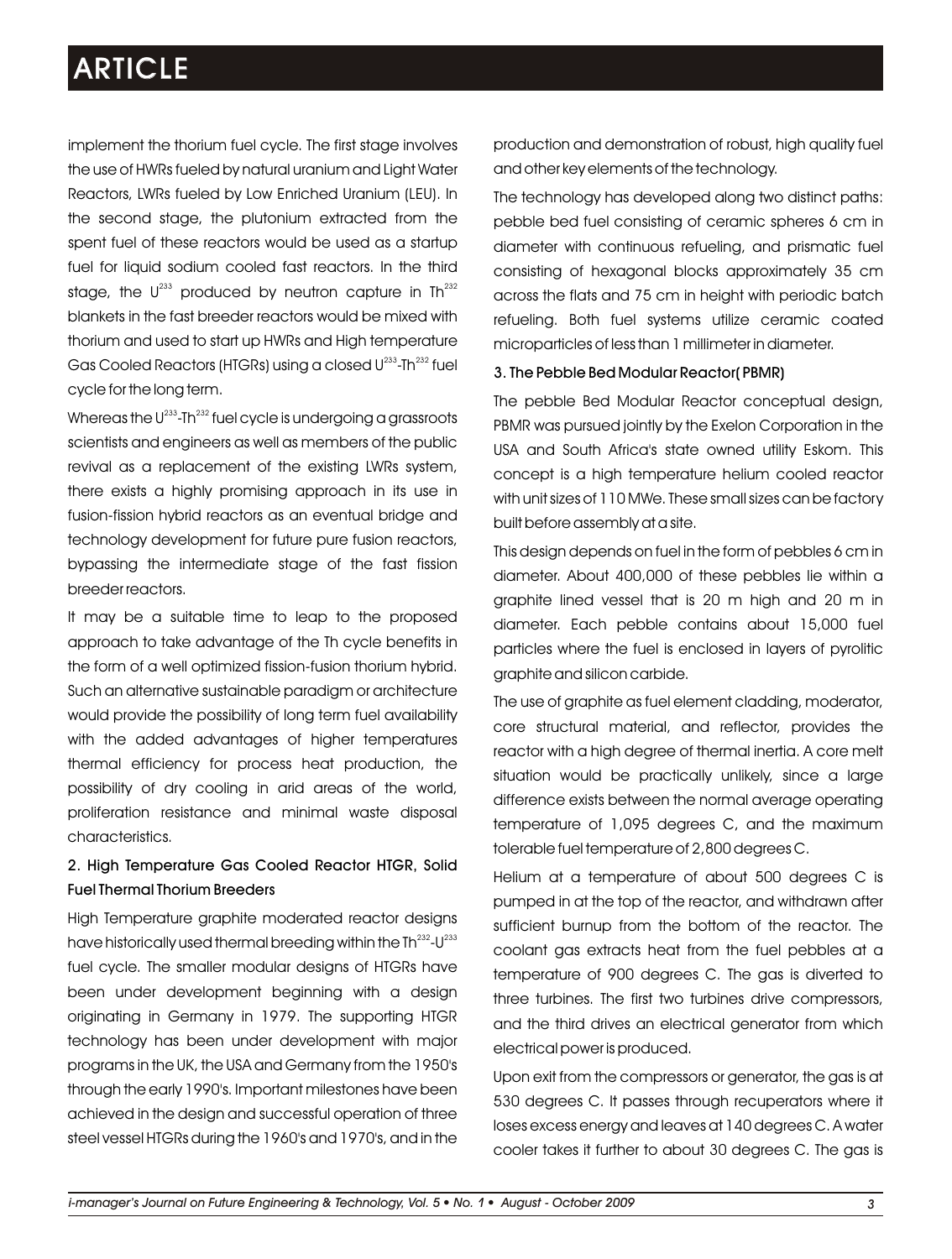implement the thorium fuel cycle. The first stage involves the use of HWRs fueled by natural uranium and Light Water Reactors, LWRs fueled by Low Enriched Uranium (LEU). In the second stage, the plutonium extracted from the spent fuel of these reactors would be used as a startup fuel for liquid sodium cooled fast reactors. In the third stage, the  $\mathsf{U}^{233}$  produced by neutron capture in Th $^{232}$ blankets in the fast breeder reactors would be mixed with thorium and used to start up HWRs and High temperature Gas Cooled Reactors (HTGRs) using a closed U<sup>233</sup>-Th<sup>232</sup> fuel cycle for the long term.

Whereas the  $U^{233}$ -Th<sup> $232$ </sup> fuel cycle is undergoing a grassroots scientists and engineers as well as members of the public revival as a replacement of the existing LWRs system, there exists a highly promising approach in its use in fusion-fission hybrid reactors as an eventual bridge and technology development for future pure fusion reactors, bypassing the intermediate stage of the fast fission breeder reactors.

It may be a suitable time to leap to the proposed approach to take advantage of the Th cycle benefits in the form of a well optimized fission-fusion thorium hybrid. Such an alternative sustainable paradigm or architecture would provide the possibility of long term fuel availability with the added advantages of higher temperatures thermal efficiency for process heat production, the possibility of dry cooling in arid areas of the world, proliferation resistance and minimal waste disposal characteristics.

### 2. High Temperature Gas Cooled Reactor HTGR, Solid Fuel Thermal Thorium Breeders

High Temperature graphite moderated reactor designs have historically used thermal breeding within the Th $^{232}$ -U $^{233}$ fuel cycle. The smaller modular designs of HTGRs have been under development beginning with a design originating in Germany in 1979. The supporting HTGR technology has been under development with major programs in the UK, the USA and Germany from the 1950's through the early 1990's. Important milestones have been achieved in the design and successful operation of three steel vessel HTGRs during the 1960's and 1970's, and in the

production and demonstration of robust, high quality fuel and other key elements of the technology.

The technology has developed along two distinct paths: pebble bed fuel consisting of ceramic spheres 6 cm in diameter with continuous refueling, and prismatic fuel consisting of hexagonal blocks approximately 35 cm across the flats and 75 cm in height with periodic batch refueling. Both fuel systems utilize ceramic coated microparticles of less than 1 millimeter in diameter.

### 3. The Pebble Bed Modular Reactor( PBMR)

The pebble Bed Modular Reactor conceptual design, PBMR was pursued jointly by the Exelon Corporation in the USA and South Africa's state owned utility Eskom. This concept is a high temperature helium cooled reactor with unit sizes of 110 MWe. These small sizes can be factory built before assembly at a site.

This design depends on fuel in the form of pebbles 6 cm in diameter. About 400,000 of these pebbles lie within a graphite lined vessel that is 20 m high and 20 m in diameter. Each pebble contains about 15,000 fuel particles where the fuel is enclosed in layers of pyrolitic graphite and silicon carbide.

The use of graphite as fuel element cladding, moderator, core structural material, and reflector, provides the reactor with a high degree of thermal inertia. A core melt situation would be practically unlikely, since a large difference exists between the normal average operating temperature of 1,095 degrees C, and the maximum tolerable fuel temperature of 2,800 degrees C.

Helium at a temperature of about 500 degrees C is pumped in at the top of the reactor, and withdrawn after sufficient burnup from the bottom of the reactor. The coolant gas extracts heat from the fuel pebbles at a temperature of 900 degrees C. The gas is diverted to three turbines. The first two turbines drive compressors, and the third drives an electrical generator from which electrical power is produced.

Upon exit from the compressors or generator, the gas is at 530 degrees C. It passes through recuperators where it loses excess energy and leaves at 140 degrees C. A water cooler takes it further to about 30 degrees C. The gas is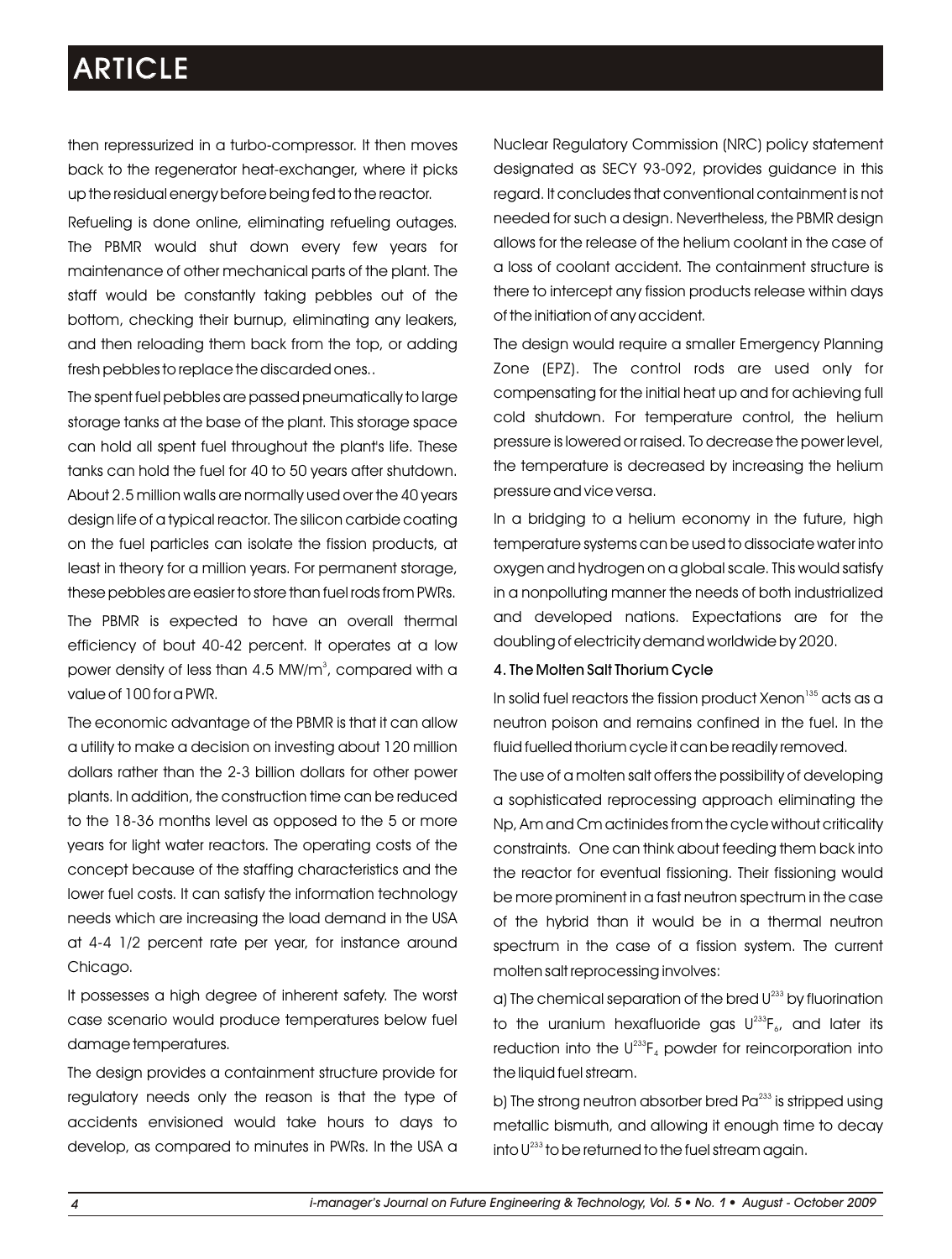then repressurized in a turbo-compressor. It then moves back to the regenerator heat-exchanger, where it picks up the residual energy before being fed to the reactor.

Refueling is done online, eliminating refueling outages. The PBMR would shut down every few years for maintenance of other mechanical parts of the plant. The staff would be constantly taking pebbles out of the bottom, checking their burnup, eliminating any leakers, and then reloading them back from the top, or adding fresh pebbles to replace the discarded ones..

The spent fuel pebbles are passed pneumatically to large storage tanks at the base of the plant. This storage space can hold all spent fuel throughout the plant's life. These tanks can hold the fuel for 40 to 50 years after shutdown. About 2.5 million walls are normally used over the 40 years design life of a typical reactor. The silicon carbide coating on the fuel particles can isolate the fission products, at least in theory for a million years. For permanent storage, these pebbles are easier to store than fuel rods from PWRs.

The PBMR is expected to have an overall thermal efficiency of bout 40-42 percent. It operates at a low power density of less than 4.5 MW/m $^{\circ}$ , compared with a value of 100 for a PWR.

The economic advantage of the PBMR is that it can allow a utility to make a decision on investing about 120 million dollars rather than the 2-3 billion dollars for other power plants. In addition, the construction time can be reduced to the 18-36 months level as opposed to the 5 or more years for light water reactors. The operating costs of the concept because of the staffing characteristics and the lower fuel costs. It can satisfy the information technology needs which are increasing the load demand in the USA at 4-4 1/2 percent rate per year, for instance around Chicago.

It possesses a high degree of inherent safety. The worst case scenario would produce temperatures below fuel damage temperatures.

The design provides a containment structure provide for regulatory needs only the reason is that the type of accidents envisioned would take hours to days to develop, as compared to minutes in PWRs. In the USA a Nuclear Regulatory Commission (NRC) policy statement designated as SECY 93-092, provides guidance in this regard. It concludes that conventional containment is not needed for such a design. Nevertheless, the PBMR design allows for the release of the helium coolant in the case of a loss of coolant accident. The containment structure is there to intercept any fission products release within days of the initiation of any accident.

The design would require a smaller Emergency Planning Zone (EPZ). The control rods are used only for compensating for the initial heat up and for achieving full cold shutdown. For temperature control, the helium pressure is lowered or raised. To decrease the power level, the temperature is decreased by increasing the helium pressure and vice versa.

In a bridging to a helium economy in the future, high temperature systems can be used to dissociate water into oxygen and hydrogen on a global scale. This would satisfy in a nonpolluting manner the needs of both industrialized and developed nations. Expectations are for the doubling of electricity demand worldwide by 2020.

#### 4. The Molten Salt Thorium Cycle

In solid fuel reactors the fission product Xenon $^{\text{35}}$  acts as a neutron poison and remains confined in the fuel. In the fluid fuelled thorium cycle it can be readily removed.

The use of a molten salt offers the possibility of developing a sophisticated reprocessing approach eliminating the Np, Am and Cm actinides from the cycle without criticality constraints. One can think about feeding them back into the reactor for eventual fissioning. Their fissioning would be more prominent in a fast neutron spectrum in the case of the hybrid than it would be in a thermal neutron spectrum in the case of a fission system. The current molten salt reprocessing involves:

a) The chemical separation of the bred  $U^{233}$  by fluorination to the uranium hexafluoride gas  $U^{233}F_{\delta}$ , and later its reduction into the  $U^{233}F_4$  powder for reincorporation into the liquid fuel stream.

b) The strong neutron absorber bred Pa<sup>233</sup> is stripped using metallic bismuth, and allowing it enough time to decay into  $U^{233}$  to be returned to the fuel stream again.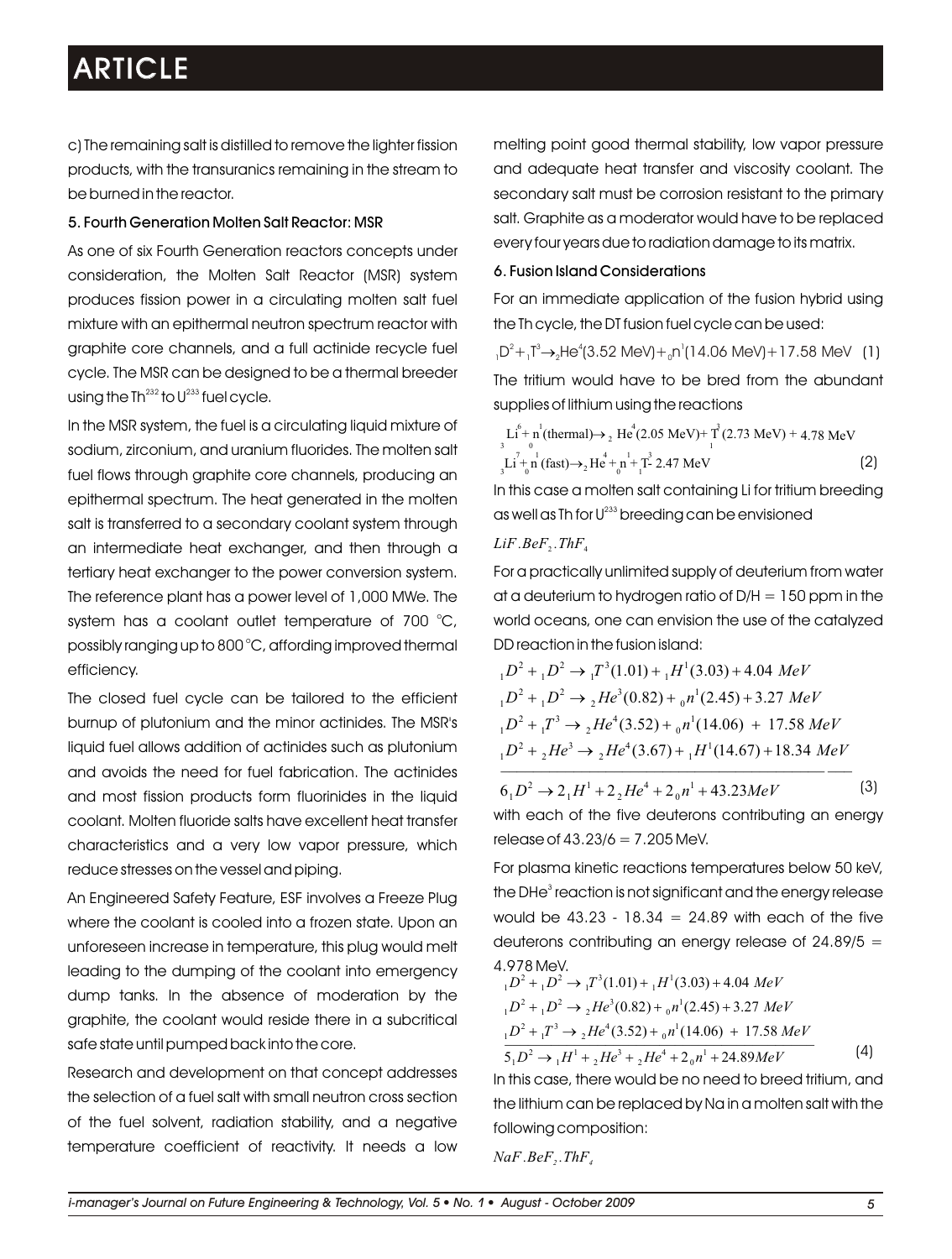c) The remaining salt is distilled to remove the lighter fission products, with the transuranics remaining in the stream to be burned in the reactor.

### 5. Fourth Generation Molten Salt Reactor: MSR

As one of six Fourth Generation reactors concepts under consideration, the Molten Salt Reactor (MSR) system produces fission power in a circulating molten salt fuel mixture with an epithermal neutron spectrum reactor with graphite core channels, and a full actinide recycle fuel cycle. The MSR can be designed to be a thermal breeder using the Th $^{232}$  to U $^{233}$  fuel cycle.

In the MSR system, the fuel is a circulating liquid mixture of sodium, zirconium, and uranium fluorides. The molten salt fuel flows through graphite core channels, producing an epithermal spectrum. The heat generated in the molten salt is transferred to a secondary coolant system through an intermediate heat exchanger, and then through a tertiary heat exchanger to the power conversion system. The reference plant has a power level of 1,000 MWe. The system has a coolant outlet temperature of 700  $^{\circ}$ C, possibly ranging up to 800 °C, affording improved thermal efficiency.

The closed fuel cycle can be tailored to the efficient burnup of plutonium and the minor actinides. The MSR's liquid fuel allows addition of actinides such as plutonium and avoids the need for fuel fabrication. The actinides and most fission products form fluorinides in the liquid coolant. Molten fluoride salts have excellent heat transfer characteristics and a very low vapor pressure, which reduce stresses on the vessel and piping.

An Engineered Safety Feature, ESF involves a Freeze Plug where the coolant is cooled into a frozen state. Upon an unforeseen increase in temperature, this plug would melt leading to the dumping of the coolant into emergency dump tanks. In the absence of moderation by the graphite, the coolant would reside there in a subcritical safe state until pumped back into the core.

Research and development on that concept addresses the selection of a fuel salt with small neutron cross section of the fuel solvent, radiation stability, and a negative temperature coefficient of reactivity. It needs a low melting point good thermal stability, low vapor pressure and adequate heat transfer and viscosity coolant. The secondary salt must be corrosion resistant to the primary salt. Graphite as a moderator would have to be replaced every four years due to radiation damage to its matrix.

### 6. Fusion Island Considerations

For an immediate application of the fusion hybrid using the Th cycle, the DT fusion fuel cycle can be used:

 $_{1}D^{2}$ + $_{1}T^{3}$  $\rightarrow$ <sub>2</sub>He<sup>4</sup>(3.52 MeV)+<sub>0</sub>n<sup>1</sup>(14.06 MeV)+17.58 MeV (1) The tritium would have to be bred from the abundant supplies of lithium using the reactions

 $\text{Li}^{6} + \text{n}^{1}$ (thermal) $\rightarrow$  <sub>2</sub> He<sup>4</sup>(2.05 MeV)+  $\text{T}^{3}$ (2.73 MeV) + 4.78 MeV  $\text{Li} + \text{n} (\text{fast}) \rightarrow {}_{2}\text{He} + \text{n} + \text{T} - 2.47 \text{ MeV}$  (2) 3 0 1 7 1 4 1 3  $_{3}$ Li + n (fast) $\rightarrow$ <sub>2</sub> He + n + T- 2.47 MeV

In this case a molten salt containing Li for tritium breeding as well as Th for U $^{233}$  breeding can be envisioned

### $LiF.BeF, ThF<sub>4</sub>$

For a practically unlimited supply of deuterium from water at a deuterium to hydrogen ratio of  $D/H = 150$  ppm in the world oceans, one can envision the use of the catalyzed DD reaction in the fusion island:

$$
{}_{1}D^{2} + {}_{1}D^{2} \rightarrow {}_{1}T^{3}(1.01) + {}_{1}H^{1}(3.03) + 4.04 \text{ MeV}
$$
  
\n
$$
{}_{1}D^{2} + {}_{1}D^{2} \rightarrow {}_{2}He^{3}(0.82) + {}_{0}n^{1}(2.45) + 3.27 \text{ MeV}
$$
  
\n
$$
{}_{1}D^{2} + {}_{1}T^{3} \rightarrow {}_{2}He^{4}(3.52) + {}_{0}n^{1}(14.06) + 17.58 \text{ MeV}
$$
  
\n
$$
{}_{1}D^{2} + {}_{2}He^{3} \rightarrow {}_{2}He^{4}(3.67) + {}_{1}H^{1}(14.67) + 18.34 \text{ MeV}
$$

 $6_1D^2 \rightarrow 2_1H^1 + 2_2He^4 + 2_0n^1 + 43.23MeV$  (3) with each of the five deuterons contributing an energy release of  $43.23/6 = 7.205$  MeV.

For plasma kinetic reactions temperatures below 50 keV, the DHe<sup>3</sup> reaction is not significant and the energy release would be  $43.23 - 18.34 = 24.89$  with each of the five deuterons contributing an energy release of  $24.89/5 =$ 4.978 MeV.

$$
{}_{1}D^{2} + {}_{1}D^{2} \rightarrow {}_{1}T^{3}(1.01) + {}_{1}H^{1}(3.03) + 4.04 \text{ MeV}
$$
  
\n
$$
{}_{1}D^{2} + {}_{1}D^{2} \rightarrow {}_{2}He^{3}(0.82) + {}_{0}n^{1}(2.45) + 3.27 \text{ MeV}
$$
  
\n
$$
{}_{1}D^{2} + {}_{1}T^{3} \rightarrow {}_{2}He^{4}(3.52) + {}_{0}n^{1}(14.06) + 17.58 \text{ MeV}
$$
  
\n
$$
5 {}_{1}D^{2} \rightarrow {}_{1}H^{1} + {}_{2}He^{3} + {}_{2}He^{4} + 2 {}_{0}n^{1} + 24.89 \text{ MeV}
$$
  
\nIn this case, there would be no need to breed tritium, and

the lithium can be replaced by Na in a molten salt with the following composition:

*NaF .BeF<sup>2</sup> .ThF<sup>4</sup>*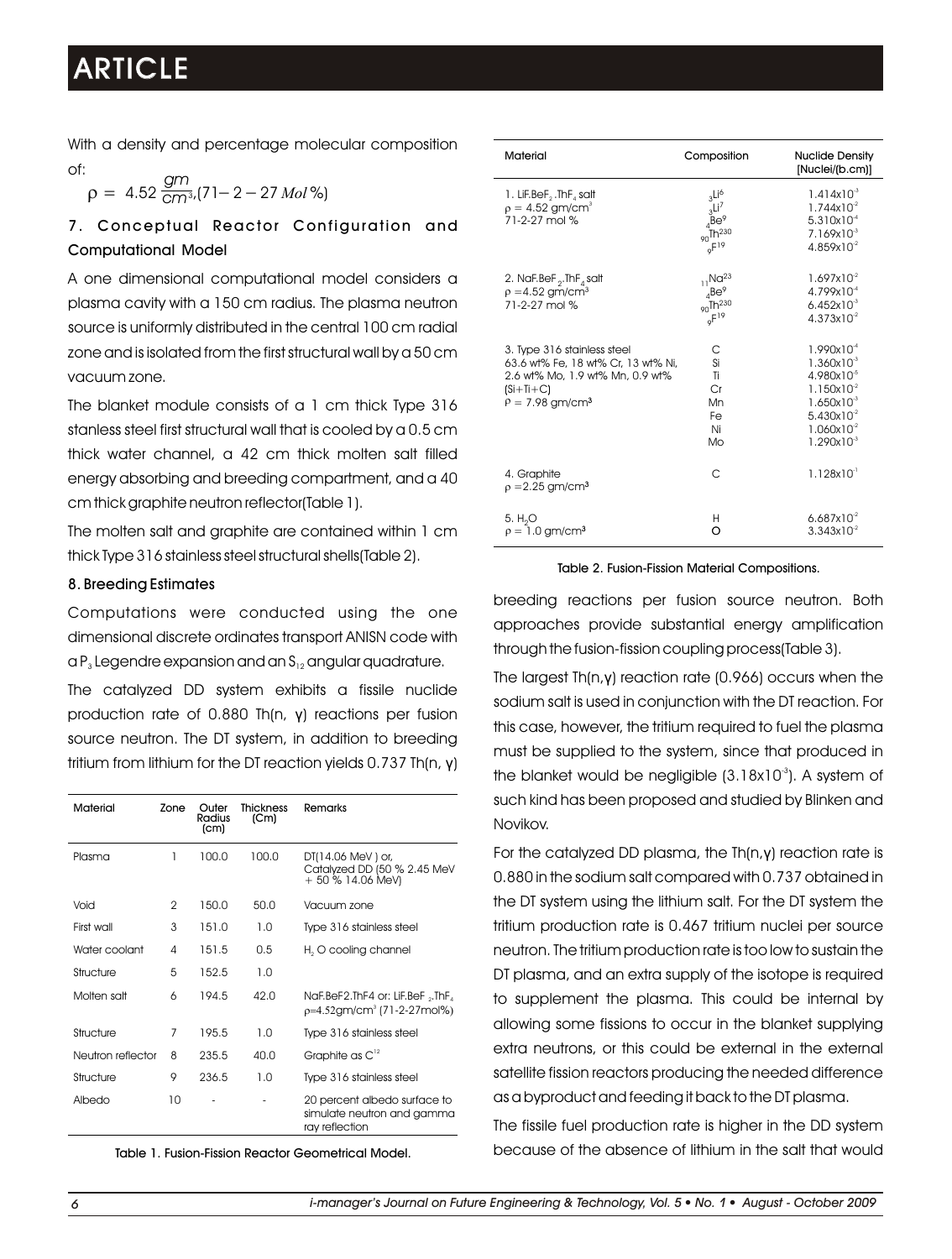With a density and percentage molecular composition of:

$$
\rho = 4.52 \frac{gm}{cm^3}(71 - 2 - 27 \text{ Mol\%})
$$

7. Conceptual Reactor Configuration and Computational Model

A one dimensional computational model considers a plasma cavity with a 150 cm radius. The plasma neutron source is uniformly distributed in the central 100 cm radial zone and is isolated from the first structural wall by a 50 cm vacuum zone.

The blanket module consists of a 1 cm thick Type 316 stanless steel first structural wall that is cooled by a 0.5 cm thick water channel, a 42 cm thick molten salt filled energy absorbing and breeding compartment, and a 40 cm thick graphite neutron reflector(Table 1).

The molten salt and graphite are contained within 1 cm thick Type 316 stainless steel structural shells(Table 2).

### 8. Breeding Estimates

Computations were conducted using the one dimensional discrete ordinates transport ANISN code with  $\alpha P_3$  Legendre expansion and an  $S_{12}$  angular quadrature.

The catalyzed DD system exhibits a fissile nuclide production rate of 0.880 Th(n, γ) reactions per fusion source neutron. The DT system, in addition to breeding tritium from lithium for the DT reaction yields 0.737 Th(n, γ)

| Material          | Zone         | Outer<br>Radius<br>(c <sub>m</sub> ) | Thickness<br>(Cm) | Remarks                                                                      |
|-------------------|--------------|--------------------------------------|-------------------|------------------------------------------------------------------------------|
| Plasma            | 1            | 100.0                                | 100.0             | DT(14.06 MeV) or,<br>Catalyzed DD (50 % 2.45 MeV<br>+50 % 14.06 MeV)         |
| Void              | $\mathbf{2}$ | 150.0                                | 50.0              | Vacuum zone                                                                  |
| First wall        | 3            | 151.0                                | 1.0               | Type 316 stainless steel                                                     |
| Water coolant     | 4            | 151.5                                | 0.5               | H <sub>2</sub> O cooling channel                                             |
| Structure         | 5            | 152.5                                | 1.0               |                                                                              |
| Molten salt       | 6            | 194.5                                | 42.0              | NaF.BeF2.ThF4 or: LiF.BeF "ThF,<br>$p=4.52$ gm/cm <sup>3</sup> (71-2-27mol%) |
| Structure         | 7            | 195.5                                | 1.0               | Type 316 stainless steel                                                     |
| Neutron reflector | 8            | 235.5                                | 40.0              | Graphite as $C^{12}$                                                         |
| Structure         | 9            | 236.5                                | 1.0               | Type 316 stainless steel                                                     |
| Albedo            | 10           |                                      |                   | 20 percent albedo surface to<br>simulate neutron and gamma<br>ray reflection |

Table 1. Fusion-Fission Reactor Geometrical Model.

| <b>Material</b>                                                                                                                                      | Composition                                                                                       | <b>Nuclide Density</b><br>[Nuclei/(b.cm)]                                                                                                               |
|------------------------------------------------------------------------------------------------------------------------------------------------------|---------------------------------------------------------------------------------------------------|---------------------------------------------------------------------------------------------------------------------------------------------------------|
| 1. LiF.BeF, $\cdot$ ThF <sub>4</sub> salt<br>$p = 4.52$ gm/cm <sup>3</sup><br>71-2-27 mol %                                                          | $3^{\text{Li}^6}$<br>3Li <sup>7</sup><br>$4^{\text{Be}^9}$<br>$90^{\text{Th}^{230}}$<br>$9F^{19}$ | $1.414x10^{3}$<br>$1.744x10^{2}$<br>$5.310x10^{-4}$<br>$7.169x10^{3}$<br>$4.859x10^{2}$                                                                 |
| 2. NaF.BeF <sub>2</sub> .ThF <sub>4</sub> salt<br>$p = 4.52$ gm/cm <sup>3</sup><br>71-2-27 mol %                                                     | $_{11}$ Na <sup>23</sup><br>$_4$ Be <sup>9</sup><br>$_{90}$ Th <sup>230</sup><br>$9F^{19}$        | $1.697x10^{2}$<br>4.799x10 <sup>-4</sup><br>$6.452x10^{-3}$<br>$4.373x10^{2}$                                                                           |
| 3. Type 316 stainless steel<br>63.6 wt% Fe, 18 wt% Cr, 13 wt% Ni,<br>2.6 wt% Mo, 1.9 wt% Mn, 0.9 wt%<br>$(Si+Ti+C)$<br>$P = 7.98$ gm/cm <sup>3</sup> | С<br>Si<br>Ti<br>Cr<br>Mn<br>Fe<br>Ni<br>Mo                                                       | $1.990x10^{-4}$<br>$1.360x10^{3}$<br>4.980x10 <sup>-5</sup><br>$1.150x10^{2}$<br>$1.650x10^{-3}$<br>$5.430x10^{2}$<br>$1.060x10^{2}$<br>$1.290x10^{-3}$ |
| 4. Graphite<br>$p = 2.25$ gm/cm <sup>3</sup>                                                                                                         | C                                                                                                 | $1.128 \times 10^{-1}$                                                                                                                                  |
| 5. H <sub>2</sub> O<br>$p = 1.0$ gm/cm <sup>3</sup>                                                                                                  | Н<br>O                                                                                            | $6.687x10^{2}$<br>$3.343x10^{2}$                                                                                                                        |

#### Table 2. Fusion-Fission Material Compositions.

breeding reactions per fusion source neutron. Both approaches provide substantial energy amplification through the fusion-fission coupling process(Table 3).

The largest Th(n,γ) reaction rate (0.966) occurs when the sodium salt is used in conjunction with the DT reaction. For this case, however, the tritium required to fuel the plasma must be supplied to the system, since that produced in the blanket would be negligible  $(3.18x10<sup>3</sup>)$ . A system of such kind has been proposed and studied by Blinken and Novikov.

For the catalyzed DD plasma, the Th(n,γ) reaction rate is 0.880 in the sodium salt compared with 0.737 obtained in the DT system using the lithium salt. For the DT system the tritium production rate is 0.467 tritium nuclei per source neutron. The tritium production rate is too low to sustain the DT plasma, and an extra supply of the isotope is required to supplement the plasma. This could be internal by allowing some fissions to occur in the blanket supplying extra neutrons, or this could be external in the external satellite fission reactors producing the needed difference as a byproduct and feeding it back to the DT plasma.

The fissile fuel production rate is higher in the DD system because of the absence of lithium in the salt that would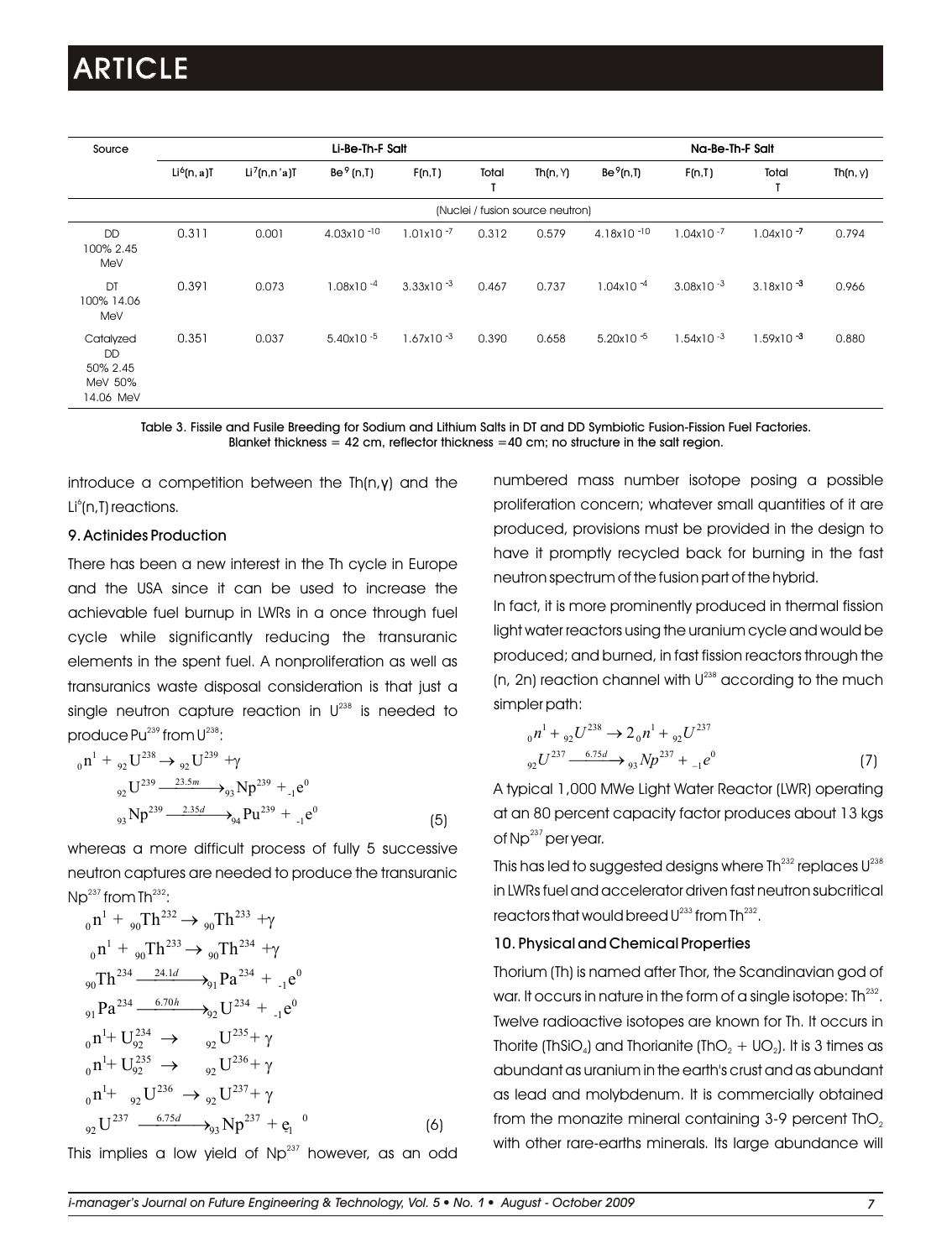| Source                                                     | Li-Be-Th-F Salt         |                                       |                       |                |       |                                  | Na-Be-Th-F Salt          |                |                |          |
|------------------------------------------------------------|-------------------------|---------------------------------------|-----------------------|----------------|-------|----------------------------------|--------------------------|----------------|----------------|----------|
|                                                            | Li <sup>6</sup> (n, a)T | Li <sup>7</sup> (n,n <sup>'</sup> a)T | $Be9$ (n, T)          | F(n,T)         | Total | Th(n, Y)                         | Be <sup>9</sup> (n,I)    | F(n,T)         | Total          | Th(n, y) |
|                                                            |                         |                                       |                       |                |       | (Nuclei / fusion source neutron) |                          |                |                |          |
| DD<br>100% 2.45<br>MeV                                     | 0.311                   | 0.001                                 | $4.03x10 - 10$        | $1.01x10^{-7}$ | 0.312 | 0.579                            | $4.18x10 - 10$           | $1.04x10^{-7}$ | $1.04x10 - 7$  | 0.794    |
| DT<br>100% 14.06<br>MeV                                    | 0.391                   | 0.073                                 | 1.08x10 <sup>-4</sup> | $3.33x10^{-3}$ | 0.467 | 0.737                            | $1.04x10^{-4}$           | $3.08x10 - 3$  | $3.18x10^{-3}$ | 0.966    |
| Catalyzed<br><b>DD</b><br>50% 2.45<br>MeV 50%<br>14.06 MeV | 0.351                   | 0.037                                 | $5.40x10 - 5$         | $1.67x10^{-3}$ | 0.390 | 0.658                            | 5.20 $\times$ 10 $^{-5}$ | $1.54x10 - 3$  | $1.59x10^{-3}$ | 0.880    |

Table 3. Fissile and Fusile Breeding for Sodium and Lithium Salts in DT and DD Symbiotic Fusion-Fission Fuel Factories. Blanket thickness  $= 42$  cm, reflector thickness  $= 40$  cm; no structure in the salt region.

introduce a competition between the Th(n,γ) and the Li°(n,T) reactions.

### 9. Actinides Production

There has been a new interest in the Th cycle in Europe and the USA since it can be used to increase the achievable fuel burnup in LWRs in a once through fuel cycle while significantly reducing the transuranic elements in the spent fuel. A nonproliferation as well as transuranics waste disposal consideration is that just a single neutron capture reaction in  $U^{238}$  is needed to produce  $Pu^{239}$  from  $U^{238}$ :

$$
{}_{0}n^{1} + {}_{92}U^{238} \rightarrow {}_{92}U^{239} + \gamma
$$
  

$$
{}_{92}U^{239} \xrightarrow{23.5m} {}_{93}Np^{239} + {}_{1}e^{0}
$$
  

$$
{}_{93}Np^{239} \xrightarrow{2.35d} {}_{94}Pu^{239} + {}_{1}e^{0}
$$
(5)

whereas a more difficult process of fully 5 successive neutron captures are needed to produce the transuranic  $Np^{237}$  from Th $^{232}$ :

$$
{}_{0}n^{1} + {}_{90}Th^{232} \rightarrow {}_{90}Th^{233} + \gamma
$$
  
\n
$$
{}_{0}n^{1} + {}_{90}Th^{233} \rightarrow {}_{90}Th^{234} + \gamma
$$
  
\n
$$
{}_{90}Th^{234} \xrightarrow{24.1d} {}_{91}Pa^{234} + {}_{1}e^{0}
$$
  
\n
$$
{}_{91}Pa^{234} \xrightarrow{6.70h} {}_{92}U^{234} + {}_{1}e^{0}
$$
  
\n
$$
{}_{0}n^{1} + U_{92}^{234} \rightarrow {}_{92}U^{235} + \gamma
$$
  
\n
$$
{}_{0}n^{1} + U_{92}^{235} \rightarrow {}_{92}U^{236} + \gamma
$$
  
\n
$$
{}_{0}n^{1} + {}_{92}U^{236} \rightarrow {}_{92}U^{237} + \gamma
$$
  
\n
$$
{}_{92}U^{237} \xrightarrow{6.75d} {}_{93}Np^{237} + e_{1}^{0}
$$
  
\n(6)

This implies a low yield of  $Np^{237}$  however, as an odd

numbered mass number isotope posing a possible proliferation concern; whatever small quantities of it are produced, provisions must be provided in the design to have it promptly recycled back for burning in the fast neutron spectrum of the fusion part of the hybrid.

In fact, it is more prominently produced in thermal fission light water reactors using the uranium cycle and would be produced; and burned, in fast fission reactors through the  $(n, 2n)$  reaction channel with  $U^{238}$  according to the much simpler path:

$$
{}_{0}n^{1} + {}_{92}U^{238} \rightarrow 2 {}_{0}n^{1} + {}_{92}U^{237}
$$
  

$$
{}_{92}U^{237} \xrightarrow{6.75d} {}_{93}Np^{237} + {}_{-1}e^{0}
$$
 (7)

A typical 1,000 MWe Light Water Reactor (LWR) operating at an 80 percent capacity factor produces about 13 kgs of Np<sup>237</sup> per year.

This has led to suggested designs where Th $^{232}$  replaces U $^{236}\,$ in LWRs fuel and accelerator driven fast neutron subcritical reactors that would breed  $U^{233}$  from Th $^{232}$ .

#### 10. Physical and Chemical Properties

Thorium (Th) is named after Thor, the Scandinavian god of war. It occurs in nature in the form of a single isotope:  $Th<sup>232</sup>$ . Twelve radioactive isotopes are known for Th. It occurs in Thorite (ThSiO<sub>4</sub>) and Thorianite (ThO<sub>2</sub> + UO<sub>2</sub>). It is 3 times as abundant as uranium in the earth's crust and as abundant as lead and molybdenum. It is commercially obtained from the monazite mineral containing  $3-9$  percent  $ThO<sub>2</sub>$ with other rare-earths minerals. Its large abundance will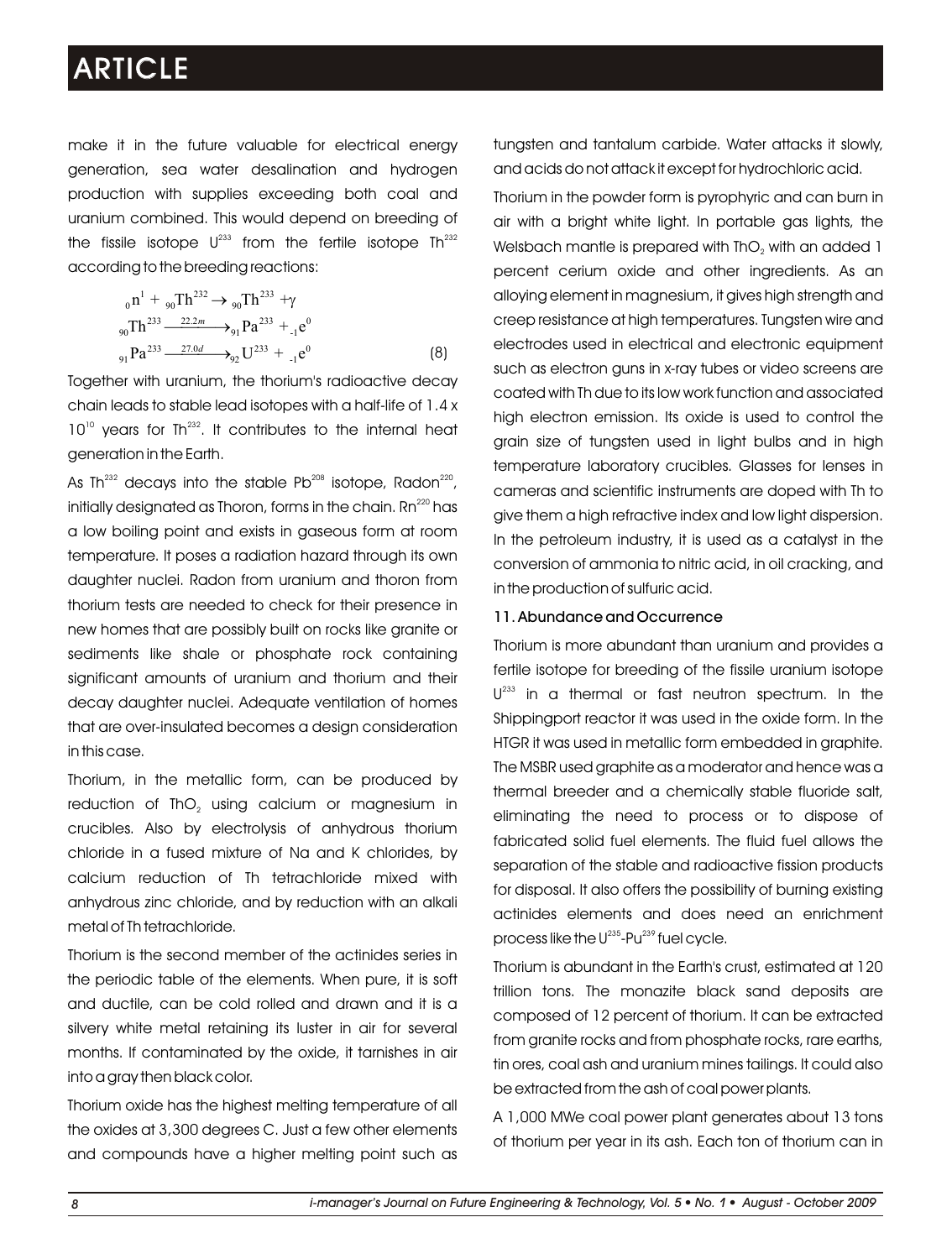make it in the future valuable for electrical energy generation, sea water desalination and hydrogen production with supplies exceeding both coal and uranium combined. This would depend on breeding of the fissile isotope  $U^{233}$  from the fertile isotope Th $^{232}$ according to the breeding reactions:

$$
{}_{0}n^{1} + {}_{90}Th^{232} \rightarrow {}_{90}Th^{233} + \gamma
$$
  
\n
$$
{}_{90}Th^{233} \xrightarrow{22.2m} {}_{91}Pa^{233} + {}_{1}e^{0}
$$
  
\n
$$
{}_{91}Pa^{233} \xrightarrow{27.0d} {}_{92}U^{233} + {}_{1}e^{0}
$$
  
\n(8)

Together with uranium, the thorium's radioactive decay chain leads to stable lead isotopes with a half-life of 1.4 x  $10<sup>10</sup>$  years for Th<sup>232</sup>. It contributes to the internal heat generation in the Earth.

As Th $^{232}$  decays into the stable Pb $^{208}$  isotope, Radon $^{220}$ , initially designated as Thoron, forms in the chain. Rn $^{\rm 220}$  has a low boiling point and exists in gaseous form at room temperature. It poses a radiation hazard through its own daughter nuclei. Radon from uranium and thoron from thorium tests are needed to check for their presence in new homes that are possibly built on rocks like granite or sediments like shale or phosphate rock containing significant amounts of uranium and thorium and their decay daughter nuclei. Adequate ventilation of homes that are over-insulated becomes a design consideration in this case.

Thorium, in the metallic form, can be produced by reduction of ThO<sub>2</sub> using calcium or magnesium in crucibles. Also by electrolysis of anhydrous thorium chloride in a fused mixture of Na and K chlorides, by calcium reduction of Th tetrachloride mixed with anhydrous zinc chloride, and by reduction with an alkali metal of Th tetrachloride.

Thorium is the second member of the actinides series in the periodic table of the elements. When pure, it is soft and ductile, can be cold rolled and drawn and it is a silvery white metal retaining its luster in air for several months. If contaminated by the oxide, it tarnishes in air into a gray then black color.

Thorium oxide has the highest melting temperature of all the oxides at 3,300 degrees C. Just a few other elements and compounds have a higher melting point such as

tungsten and tantalum carbide. Water attacks it slowly, and acids do not attack it except for hydrochloric acid.

Thorium in the powder form is pyrophyric and can burn in air with a bright white light. In portable gas lights, the Welsbach mantle is prepared with ThO<sub>2</sub> with an added 1 percent cerium oxide and other ingredients. As an alloying element in magnesium, it gives high strength and creep resistance at high temperatures. Tungsten wire and electrodes used in electrical and electronic equipment such as electron guns in x-ray tubes or video screens are coated with Th due to its low work function and associated high electron emission. Its oxide is used to control the grain size of tungsten used in light bulbs and in high temperature laboratory crucibles. Glasses for lenses in cameras and scientific instruments are doped with Th to give them a high refractive index and low light dispersion. In the petroleum industry, it is used as a catalyst in the conversion of ammonia to nitric acid, in oil cracking, and in the production of sulfuric acid.

### 11. Abundance and Occurrence

Thorium is more abundant than uranium and provides a fertile isotope for breeding of the fissile uranium isotope  $U^{233}$  in a thermal or fast neutron spectrum. In the Shippingport reactor it was used in the oxide form. In the HTGR it was used in metallic form embedded in graphite. The MSBR used graphite as a moderator and hence was a thermal breeder and a chemically stable fluoride salt, eliminating the need to process or to dispose of fabricated solid fuel elements. The fluid fuel allows the separation of the stable and radioactive fission products for disposal. It also offers the possibility of burning existing actinides elements and does need an enrichment process like the  $U^{235}$ -Pu $^{239}$  fuel cycle.

Thorium is abundant in the Earth's crust, estimated at 120 trillion tons. The monazite black sand deposits are composed of 12 percent of thorium. It can be extracted from granite rocks and from phosphate rocks, rare earths, tin ores, coal ash and uranium mines tailings. It could also be extracted from the ash of coal power plants.

A 1,000 MWe coal power plant generates about 13 tons of thorium per year in its ash. Each ton of thorium can in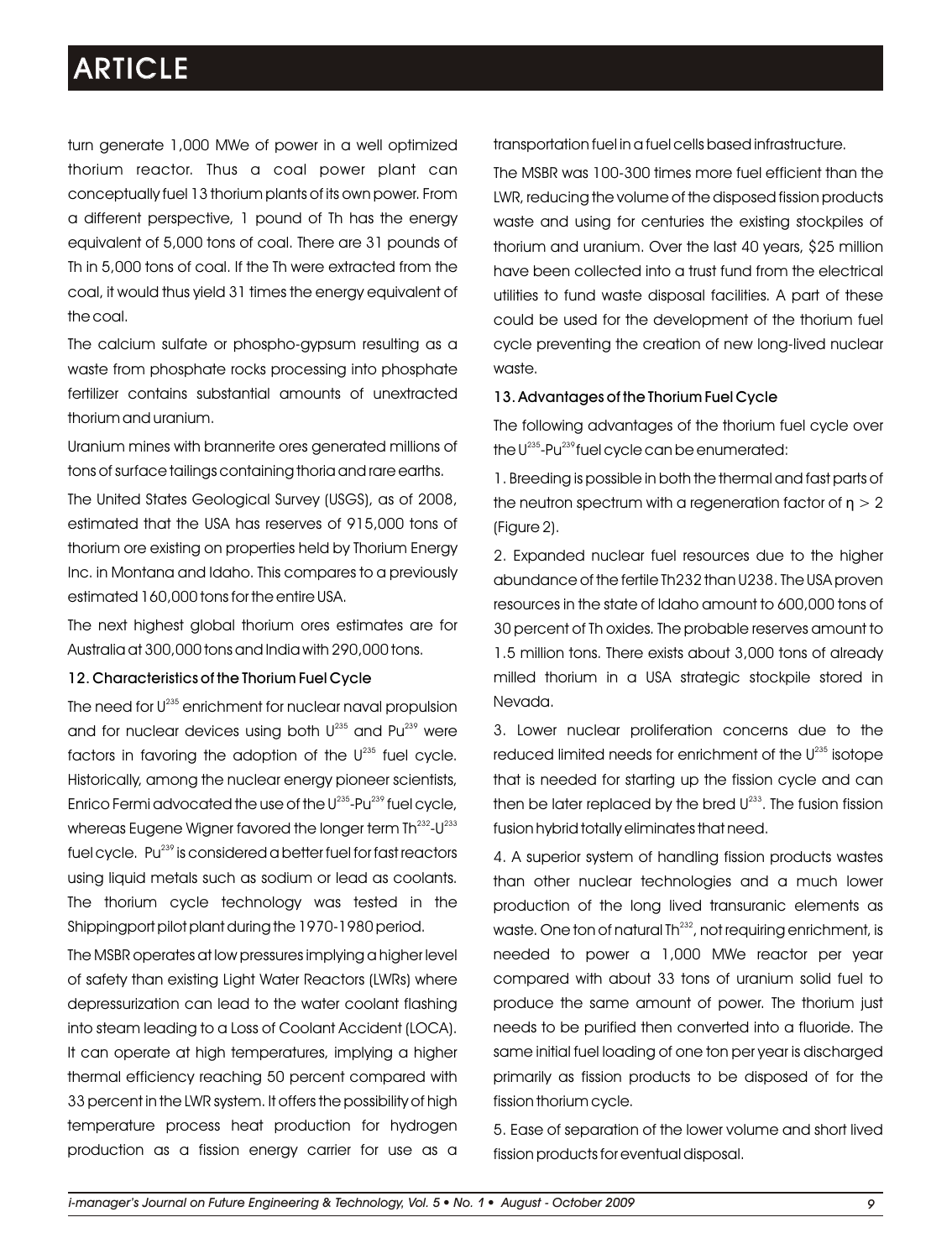turn generate 1,000 MWe of power in a well optimized thorium reactor. Thus a coal power plant can conceptually fuel 13 thorium plants of its own power. From a different perspective, 1 pound of Th has the energy equivalent of 5,000 tons of coal. There are 31 pounds of Th in 5,000 tons of coal. If the Th were extracted from the coal, it would thus yield 31 times the energy equivalent of the coal.

The calcium sulfate or phospho-gypsum resulting as a waste from phosphate rocks processing into phosphate fertilizer contains substantial amounts of unextracted thorium and uranium.

Uranium mines with brannerite ores generated millions of tons of surface tailings containing thoria and rare earths.

The United States Geological Survey (USGS), as of 2008, estimated that the USA has reserves of 915,000 tons of thorium ore existing on properties held by Thorium Energy Inc. in Montana and Idaho. This compares to a previously estimated 160,000 tons for the entire USA.

The next highest global thorium ores estimates are for Australia at 300,000 tons and India with 290,000 tons.

### 12. Characteristics of the Thorium Fuel Cycle

The need for U<sup>235</sup> enrichment for nuclear naval propulsion and for nuclear devices using both  $\mathsf{U}^{^{235}}$  and  $\mathsf{Pu}^{^{239}}$  were factors in favoring the adoption of the  $\mathsf{U}^{^{235}}$  fuel cycle. Historically, among the nuclear energy pioneer scientists, Enrico Fermi advocated the use of the U $^{235}$ -Pu $^{239}$  fuel cycle,  $\,$ whereas Eugene Wigner favored the longer term  $\text{Th}^{232}\text{-}U^{233}$ fuel cycle. Pu<sup>239</sup> is considered a better fuel for fast reactors using liquid metals such as sodium or lead as coolants. The thorium cycle technology was tested in the Shippingport pilot plant during the 1970-1980 period.

The MSBR operates at low pressures implying a higher level of safety than existing Light Water Reactors (LWRs) where depressurization can lead to the water coolant flashing into steam leading to a Loss of Coolant Accident (LOCA). It can operate at high temperatures, implying a higher thermal efficiency reaching 50 percent compared with 33 percent in the LWR system. It offers the possibility of high temperature process heat production for hydrogen production as a fission energy carrier for use as a transportation fuel in a fuel cells based infrastructure.

The MSBR was 100-300 times more fuel efficient than the LWR, reducing the volume of the disposed fission products waste and using for centuries the existing stockpiles of thorium and uranium. Over the last 40 years, \$25 million have been collected into a trust fund from the electrical utilities to fund waste disposal facilities. A part of these could be used for the development of the thorium fuel cycle preventing the creation of new long-lived nuclear waste.

### 13. Advantages of the Thorium Fuel Cycle

The following advantages of the thorium fuel cycle over the  $U^{235}$ -Pu $^{239}$ fuel cycle can be enumerated:

1. Breeding is possible in both the thermal and fast parts of the neutron spectrum with a regeneration factor of  $n > 2$ (Figure 2).

2. Expanded nuclear fuel resources due to the higher abundance of the fertile Th232 than U238. The USA proven resources in the state of Idaho amount to 600,000 tons of 30 percent of Th oxides. The probable reserves amount to 1.5 million tons. There exists about 3,000 tons of already milled thorium in a USA strategic stockpile stored in Nevada.

3. Lower nuclear proliferation concerns due to the reduced limited needs for enrichment of the U235 isotope that is needed for starting up the fission cycle and can then be later replaced by the bred  $U^{233}$ . The fusion fission fusion hybrid totally eliminates that need.

4. A superior system of handling fission products wastes than other nuclear technologies and a much lower production of the long lived transuranic elements as waste. One ton of natural Th<sup>232</sup>, not requiring enrichment, is needed to power a 1,000 MWe reactor per year compared with about 33 tons of uranium solid fuel to produce the same amount of power. The thorium just needs to be purified then converted into a fluoride. The same initial fuel loading of one ton per year is discharged primarily as fission products to be disposed of for the fission thorium cycle.

5. Ease of separation of the lower volume and short lived fission products for eventual disposal.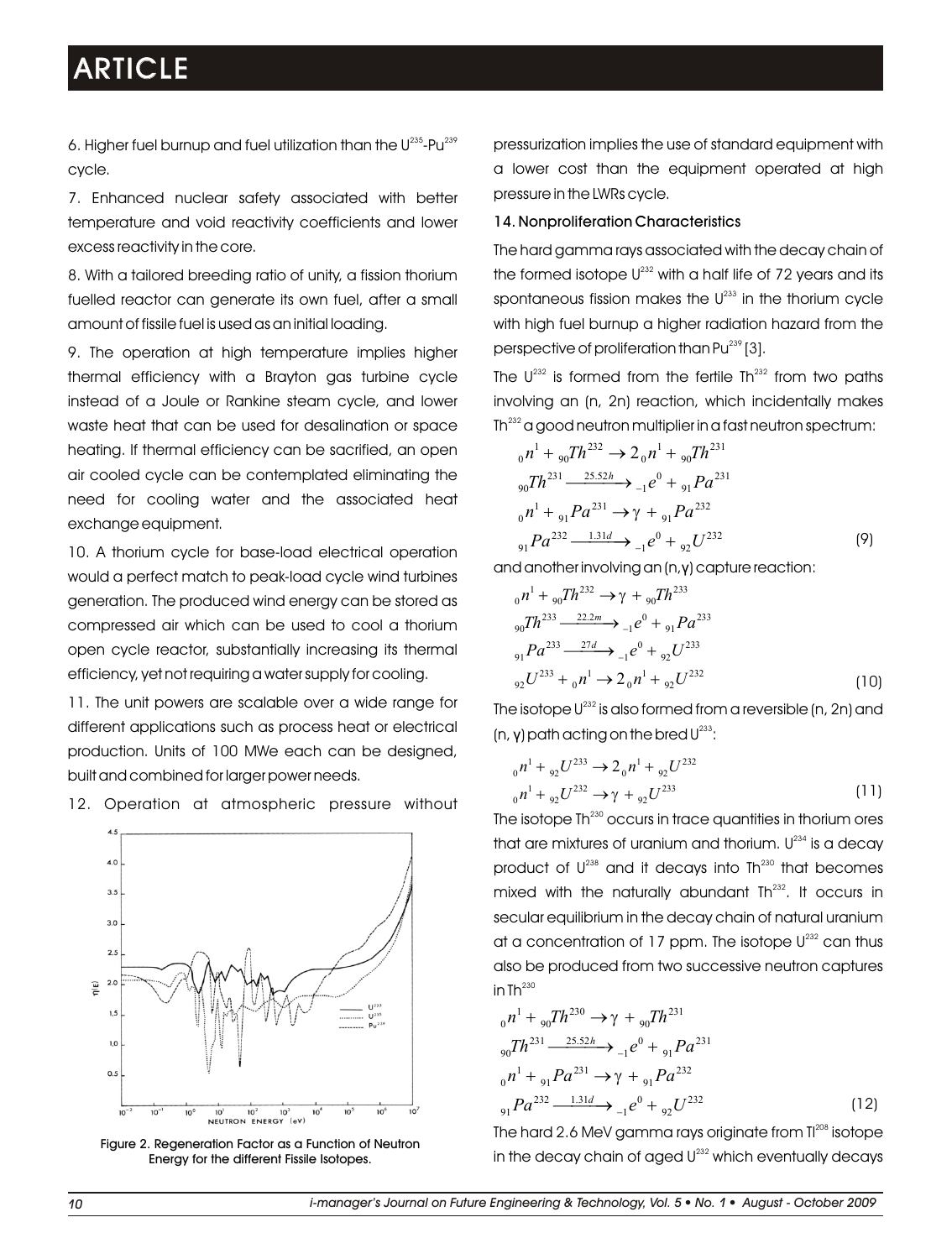6. Higher fuel burnup and fuel utilization than the  $\mathsf{U}^{235}\text{-}\mathsf{P} \mathsf{u}^{239}$ cycle.

7. Enhanced nuclear safety associated with better temperature and void reactivity coefficients and lower excess reactivity in the core.

8. With a tailored breeding ratio of unity, a fission thorium fuelled reactor can generate its own fuel, after a small amount of fissile fuel is used as an initial loading.

9. The operation at high temperature implies higher thermal efficiency with a Brayton gas turbine cycle instead of a Joule or Rankine steam cycle, and lower waste heat that can be used for desalination or space heating. If thermal efficiency can be sacrified, an open air cooled cycle can be contemplated eliminating the need for cooling water and the associated heat exchange equipment.

10. A thorium cycle for base-load electrical operation would a perfect match to peak-load cycle wind turbines generation. The produced wind energy can be stored as compressed air which can be used to cool a thorium open cycle reactor, substantially increasing its thermal efficiency, yet not requiring a water supply for cooling.

11. The unit powers are scalable over a wide range for different applications such as process heat or electrical production. Units of 100 MWe each can be designed, built and combined for larger power needs.



12. Operation at atmospheric pressure without

Figure 2. Regeneration Factor as a Function of Neutron Energy for the different Fissile Isotopes.

pressurization implies the use of standard equipment with a lower cost than the equipment operated at high pressure in the LWRs cycle.

### 14. Nonproliferation Characteristics

The hard gamma rays associated with the decay chain of the formed isotope  $U^{232}$  with a half life of 72 years and its spontaneous fission makes the  $U<sup>233</sup>$  in the thorium cycle with high fuel burnup a higher radiation hazard from the perspective of proliferation than  $Pu^{239}$  [3].

The  $U^{232}$  is formed from the fertile Th $^{232}$  from two paths involving an (n, 2n) reaction, which incidentally makes Th $^{232}$  a good neutron multiplier in a fast neutron spectrum:

$$
{}_{0}n^{1} + {}_{90}Th^{232} \rightarrow 2 {}_{0}n^{1} + {}_{90}Th^{231}
$$
  
\n
$$
{}_{90}Th^{231} \xrightarrow{25.52h} {}_{-1}e^{0} + {}_{91}Pa^{231}
$$
  
\n
$$
{}_{0}n^{1} + {}_{91}Pa^{231} \rightarrow \gamma + {}_{91}Pa^{232}
$$
  
\n
$$
{}_{91}Pa^{232} \xrightarrow{1.31d} {}_{-1}e^{0} + {}_{92}U^{232}
$$
 (9)

and another involving an (n,γ) capture reaction:

$$
{}_{0}n^{1} + {}_{90}Th^{232} \rightarrow \gamma + {}_{90}Th^{233}
$$
  
\n
$$
{}_{90}Th^{233} \xrightarrow{22.2m} {}_{-1}e^{0} + {}_{91}Pa^{233}
$$
  
\n
$$
{}_{91}Pa^{233} \xrightarrow{27d} {}_{-1}e^{0} + {}_{92}U^{233}
$$
  
\n
$$
{}_{92}U^{233} + {}_{0}n^{1} \rightarrow 2{}_{0}n^{1} + {}_{92}U^{232}
$$
 (10)

The isotope  $U^{232}$  is also formed from a reversible (n, 2n) and (n, **γ**) path acting on the bred  $U^{233}$ :

$$
{}_{0}n^{1} + {}_{92}U^{233} \rightarrow 2 {}_{0}n^{1} + {}_{92}U^{232}
$$
  

$$
{}_{0}n^{1} + {}_{92}U^{232} \rightarrow \gamma + {}_{92}U^{233}
$$
 (11)

The isotope Th<sup>230</sup> occurs in trace quantities in thorium ores that are mixtures of uranium and thorium.  $U^{234}$  is a decay product of  $U^{238}$  and it decays into Th $^{230}$  that becomes mixed with the naturally abundant  $Th<sup>232</sup>$ . It occurs in secular equilibrium in the decay chain of natural uranium at a concentration of 17 ppm. The isotope  $U^{232}$  can thus also be produced from two successive neutron captures in Th $^{230}$ 

$$
{}_{0}n^{1} + {}_{90}Th^{230} \rightarrow \gamma + {}_{90}Th^{231}
$$
  
\n
$$
{}_{90}Th^{231} \xrightarrow{25.52h} {}_{-1}e^{0} + {}_{91}Pa^{231}
$$
  
\n
$$
{}_{0}n^{1} + {}_{91}Pa^{231} \rightarrow \gamma + {}_{91}Pa^{232}
$$
  
\n
$$
{}_{91}Pa^{232} \xrightarrow{1.31d} {}_{-1}e^{0} + {}_{92}U^{232}
$$
\n(12)

The hard 2.6 MeV gamma rays originate from  ${\rm I}^{208}$  isotope in the decay chain of aged  $U^{232}$  which eventually decays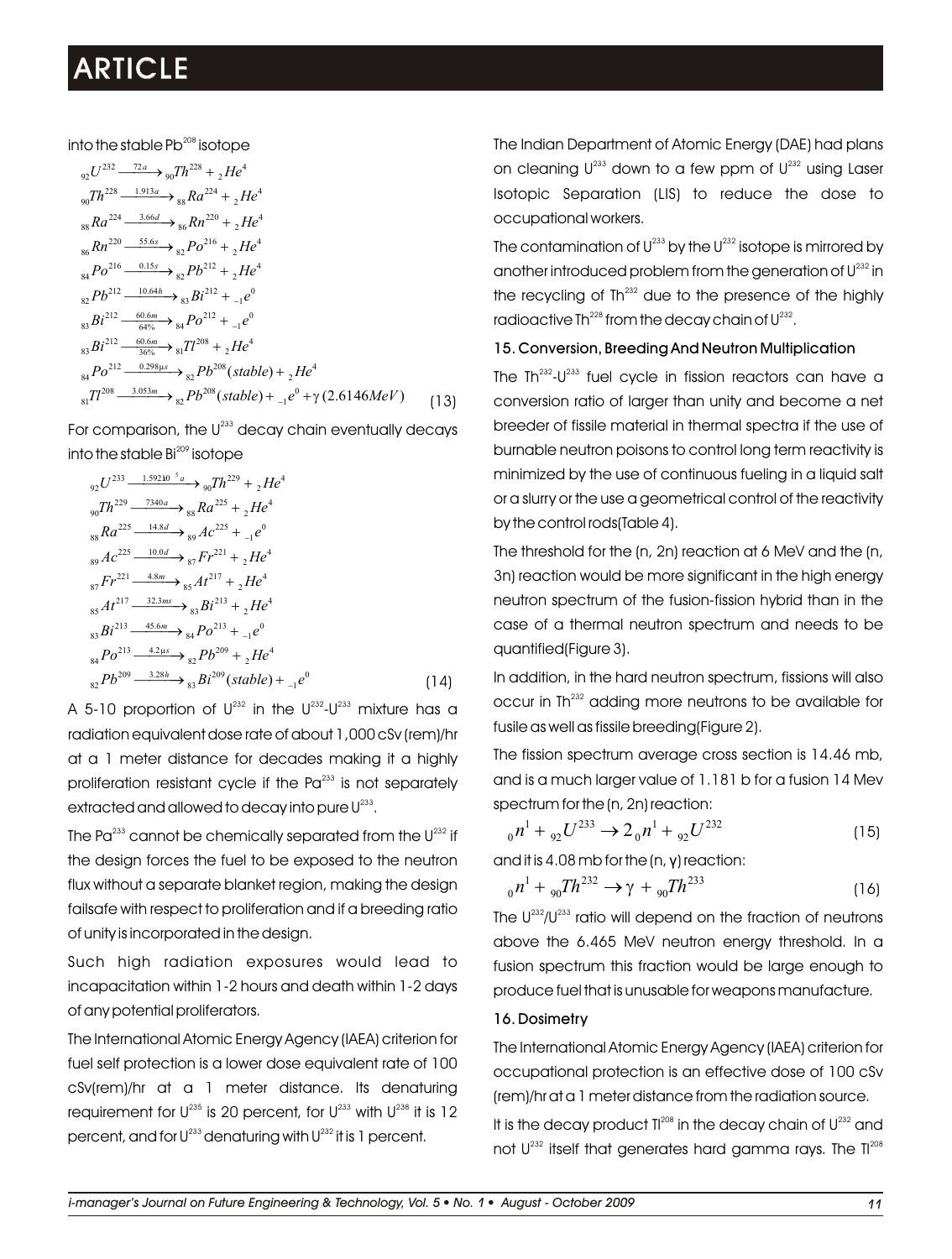into the stable Pb $^{\rm 208}$  isotope

$$
{}_{92}U^{232} \xrightarrow{\phantom{0}72a} {}_{90}Th^{228} + {}_{2}He^4
$$
  
\n
$$
{}_{90}Th^{228} \xrightarrow{\phantom{0}1.913a} {}_{98}Ra^{224} + {}_{2}He^4
$$
  
\n
$$
{}_{88}Ra^{224} \xrightarrow{\phantom{0}3.66d} {}_{86}Rn^{220} + {}_{2}He^4
$$
  
\n
$$
{}_{86}Rn^{220} \xrightarrow{\phantom{0}55.6s} {}_{82}Po^{216} + {}_{2}He^4
$$
  
\n
$$
{}_{84}Po^{216} \xrightarrow{\phantom{0}0.15s} {}_{82}Pb^{212} + {}_{2}He^4
$$
  
\n
$$
{}_{82}Pb^{212} \xrightarrow{\phantom{0}10.64h} {}_{83}Bi^{212} + {}_{1}e^0
$$
  
\n
$$
{}_{83}Bi^{212} \xrightarrow{\phantom{0}6.6m} {}_{64\%} {}_{81}Po^{212} + {}_{1}e^0
$$
  
\n
$$
{}_{83}Bi^{212} \xrightarrow{\phantom{0}0.6m} {}_{36\%} {}_{81}Tl^{208} + {}_{2}He^4
$$
  
\n
$$
{}_{84}Po^{212} \xrightarrow{\phantom{0}0.298\mu s} {}_{82}Pb^{208} (stable) + {}_{2}He^4
$$
  
\n
$$
{}_{81}Tl^{208} \xrightarrow{\phantom{0}3.053m} {}_{82}Pb^{208} (stable) + {}_{-1}e^0 + \gamma (2.6146MeV) \qquad (13)
$$

For comparison, the  $U^{233}$  decay chain eventually decays into the stable  $Bi^{209}$  isotope

$$
y_2 U^{233} \xrightarrow{1.592k0^{-5}a} y_0 Th^{229} + {}_{2}He^{4}
$$
  
\n
$$
y_0 Th^{229} \xrightarrow{7340a} s_8 Ra^{225} + {}_{2}He^{4}
$$
  
\n
$$
s_8 Ra^{225} \xrightarrow{14.8d} s_9 Ac^{225} + {}_{-1}e^{0}
$$
  
\n
$$
s_9 Ac^{225} \xrightarrow{10.0d} s_8 F r^{221} + {}_{2}He^{4}
$$
  
\n
$$
s_7 Fr^{221} \xrightarrow{4.8m} s_8 At^{217} + {}_{2}He^{4}
$$
  
\n
$$
s_5 At^{217} \xrightarrow{32.3ms} s_3 Bi^{213} + {}_{2}He^{4}
$$
  
\n
$$
s_3 Bi^{213} \xrightarrow{45.6m} s_4 Po^{213} + {}_{-1}e^{0}
$$
  
\n
$$
s_4 Po^{213} \xrightarrow{4.2 \mu s} s_2 Pb^{209} + {}_{2}He^{4}
$$
  
\n
$$
s_2 Pb^{209} \xrightarrow{3.28h} s_8 Bi^{209} (stable) + {}_{-1}e^{0}
$$
  
\n(14)

A 5-10 proportion of  $U^{232}$  in the  $U^{232}$ - $U^{233}$  mixture has a radiation equivalent dose rate of about 1,000 cSv (rem)/hr at a 1 meter distance for decades making it a highly proliferation resistant cycle if the  $Pa<sup>233</sup>$  is not separately extracted and allowed to decay into pure U $^{233}.$ 

The Pa $^{233}$  cannot be chemically separated from the U $^{232}$  if the design forces the fuel to be exposed to the neutron flux without a separate blanket region, making the design failsafe with respect to proliferation and if a breeding ratio of unity is incorporated in the design.

Such high radiation exposures would lead to incapacitation within 1-2 hours and death within 1-2 days of any potential proliferators.

The International Atomic Energy Agency (IAEA) criterion for fuel self protection is a lower dose equivalent rate of 100 cSv(rem)/hr at a 1 meter distance. Its denaturing requirement for U $^{235}$  is 20 percent, for U $^{233}$  with U $^{238}$  it is 12 percent, and for U $^{233}$  denaturing with U $^{232}$  it is 1 percent.

The Indian Department of Atomic Energy (DAE) had plans on cleaning  $U^{233}$  down to a few ppm of  $U^{232}$  using Laser Isotopic Separation (LIS) to reduce the dose to occupational workers.

The contamination of  $\mathsf{U}^{233}$  by the  $\mathsf{U}^{232}$  isotope is mirrored by another introduced problem from the generation of  $\mathsf{U}^{232}$  in the recycling of  $I h^{232}$  due to the presence of the highly radioactive Th $^{228}$  from the decay chain of  $U^{232}$ .

### 15. Conversion, Breeding And Neutron Multiplication

The Th $^{232}$ -U $^{233}$  fuel cycle in fission reactors can have a conversion ratio of larger than unity and become a net breeder of fissile material in thermal spectra if the use of burnable neutron poisons to control long term reactivity is minimized by the use of continuous fueling in a liquid salt or a slurry or the use a geometrical control of the reactivity by the control rods(Table 4).

The threshold for the (n, 2n) reaction at 6 MeV and the (n, 3n) reaction would be more significant in the high energy neutron spectrum of the fusion-fission hybrid than in the case of a thermal neutron spectrum and needs to be quantified(Figure 3).

In addition, in the hard neutron spectrum, fissions will also occur in Th<sup>232</sup> adding more neutrons to be available for fusile as well as fissile breeding(Figure 2).

The fission spectrum average cross section is 14.46 mb, and is a much larger value of 1.181 b for a fusion 14 Mev spectrum for the (n, 2n) reaction:

$$
_{0}n^{1} + _{92}U^{233} \rightarrow 2_{0}n^{1} + _{92}U^{232}
$$
 (15)

and it is 4.08 mb for the (n, γ) reaction:

$$
_{0}n^{1} + _{90}Th^{232} \rightarrow \gamma + _{90}Th^{233}
$$
 (16)

The  $U^{232}/U^{233}$  ratio will depend on the fraction of neutrons above the 6.465 MeV neutron energy threshold. In a fusion spectrum this fraction would be large enough to produce fuel that is unusable for weapons manufacture.

#### 16. Dosimetry

The International Atomic Energy Agency (IAEA) criterion for occupational protection is an effective dose of 100 cSv (rem)/hr at a 1 meter distance from the radiation source.

It is the decay product  $I^{208}$  in the decay chain of  $U^{232}$  and not  $U^{232}$  itself that generates hard gamma rays. The  $II^{208}$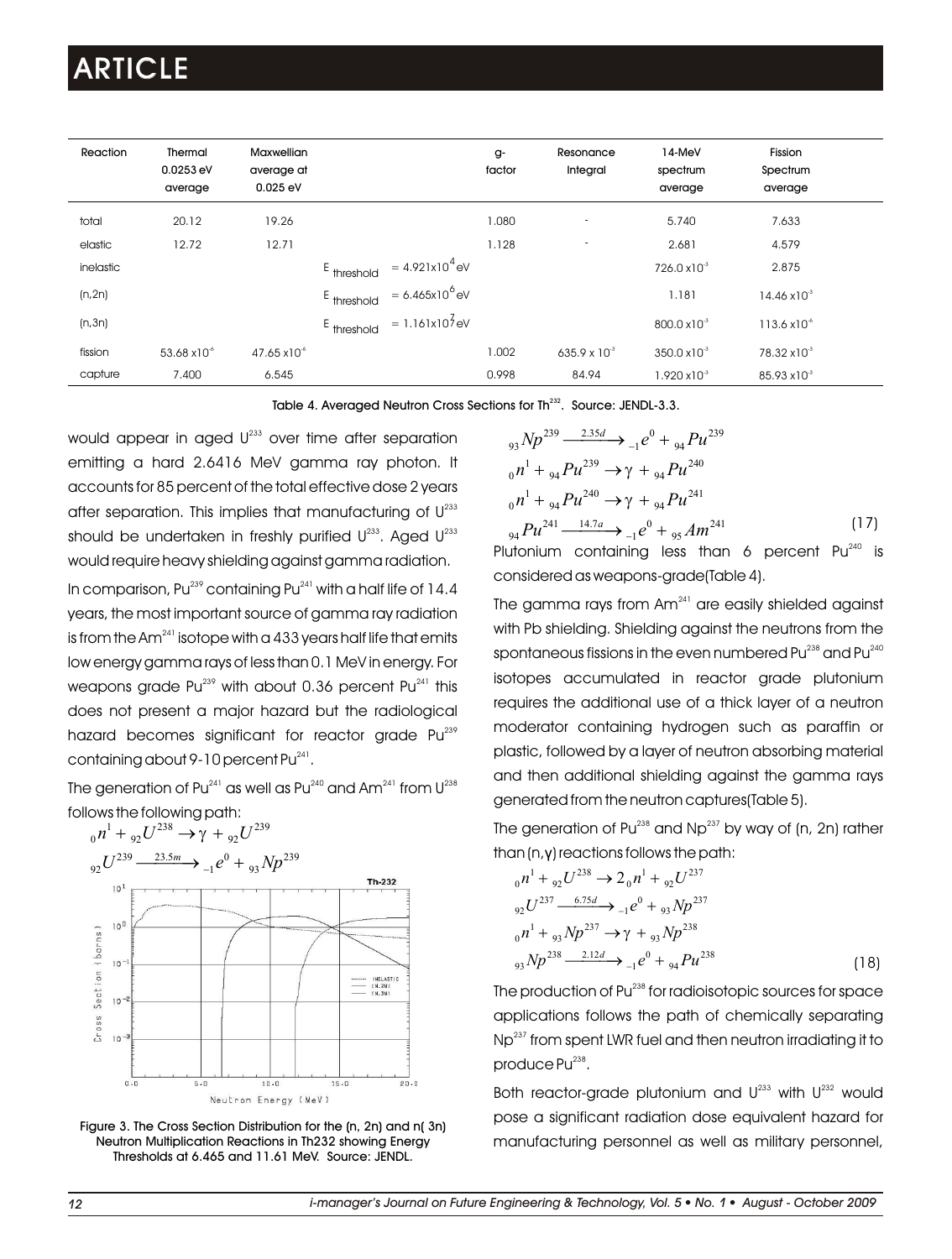| Reaction  | Thermal<br>0.0253 eV<br>average | <b>Maxwellian</b><br>average at<br>$0.025$ eV |                          |                            | g-<br>factor | Resonance<br>Integral | 14-MeV<br>spectrum<br>average | Fission<br>Spectrum<br>average |  |
|-----------|---------------------------------|-----------------------------------------------|--------------------------|----------------------------|--------------|-----------------------|-------------------------------|--------------------------------|--|
| total     | 20.12                           | 19.26                                         |                          |                            | 080.         | ٠                     | 5.740                         | 7.633                          |  |
| elastic   | 12.72                           | 12.71                                         |                          |                            | 1.128        | ٠                     | 2.681                         | 4.579                          |  |
| inelastic |                                 |                                               | E threshold              | $= 4.921 \times 10^{4}$ eV |              |                       | $726.0 \times 10^{-3}$        | 2.875                          |  |
| (n, 2n)   |                                 |                                               | $E$ <sub>threshold</sub> | $= 6.465x10^{6}$ eV        |              |                       | 1.181                         | $14.46 \times 10^{-3}$         |  |
| (n,3n)    |                                 |                                               | E threshold              | $= 1.161 \times 10^7$ eV   |              |                       | $800.0 \times 10^{-3}$        | $113.6 \times 10^{-6}$         |  |
| fission   | 53.68 x10 <sup>-6</sup>         | $47.65 \times 10^{-6}$                        |                          |                            | 1.002        | 635.9 x $10^{-3}$     | $350.0 \times 10^{-3}$        | 78.32 x10 <sup>-3</sup>        |  |
| capture   | 7.400                           | 6.545                                         |                          |                            | 0.998        | 84.94                 | $1.920 \times 10^{-3}$        | 85.93 x10 <sup>-3</sup>        |  |

Table 4. Averaged Neutron Cross Sections for Th<sup>232</sup>. Source: JENDL-3.3.

would appear in aged  $U^{233}$  over time after separation emitting a hard 2.6416 MeV gamma ray photon. It accounts for 85 percent of the total effective dose 2 years after separation. This implies that manufacturing of  $\mathsf{U}^{^{233}}$ should be undertaken in freshly purified  $\textsf{U}^{\text{233}}$ . Aged  $\textsf{U}^{\text{233}}$ would require heavy shielding against gamma radiation. In comparison, Pu $^{239}$  containing Pu $^{241}$  with a half life of 14.4 years, the most important source of gamma ray radiation is from the Am $^{241}$  isotope with a 433 years half life that emits low energy gamma rays of less than 0.1 MeV in energy. For weapons grade Pu $^{239}$  with about 0.36 percent Pu $^{241}$  this does not present a major hazard but the radiological hazard becomes significant for reactor grade Pu<sup>239</sup>

The generation of Pu $^{241}$  as well as Pu $^{240}$  and Am $^{241}$  from U $^{238}$ follows the following path:

containing about 9-10 percent Pu<sup>241</sup>.



Figure 3. The Cross Section Distribution for the (n, 2n) and n( 3n) Neutron Multiplication Reactions in Th232 showing Energy Thresholds at 6.465 and 11.61 MeV. Source: JENDL.

$$
{}_{93}Np^{239} \xrightarrow{2.35d} {}_{-1}e^{0} + {}_{94}Pu^{239}
$$
  
\n
$$
{}_{0}n^{1} + {}_{94}Pu^{239} \rightarrow \gamma + {}_{94}Pu^{240}
$$
  
\n
$$
{}_{0}n^{1} + {}_{94}Pu^{240} \rightarrow \gamma + {}_{94}Pu^{241}
$$
  
\n
$$
{}_{94}Pu^{241} \xrightarrow{14.7a} {}_{-1}e^{0} + {}_{95}Am^{241}
$$
\n(17)

Plutonium containing less than 6 percent  $Pu^{240}$  is considered as weapons-grade(Table 4).

The gamma rays from  $Am<sup>241</sup>$  are easily shielded against with Pb shielding. Shielding against the neutrons from the spontaneous fissions in the even numbered Pu $^{238}$  and Pu $^{240}$ isotopes accumulated in reactor grade plutonium requires the additional use of a thick layer of a neutron moderator containing hydrogen such as paraffin or plastic, followed by a layer of neutron absorbing material and then additional shielding against the gamma rays generated from the neutron captures(Table 5).

The generation of Pu $^{238}$  and Np $^{237}$  by way of (n, 2n) rather than (n,γ) reactions follows the path:

$$
{}_{0}n^{1} + {}_{92}U^{238} \rightarrow 2 {}_{0}n^{1} + {}_{92}U^{237}
$$
  
\n
$$
{}_{92}U^{237} \xrightarrow{6.75d} {}_{-1}e^{0} + {}_{93}Np^{237}
$$
  
\n
$$
{}_{0}n^{1} + {}_{93}Np^{237} \rightarrow \gamma + {}_{93}Np^{238}
$$
  
\n
$$
{}_{93}Np^{238} \xrightarrow{2.12d} {}_{-1}e^{0} + {}_{94}Pu^{238}
$$
\n(18)

The production of Pu<sup>238</sup> for radioisotopic sources for space applications follows the path of chemically separating Np<sup>237</sup> from spent LWR fuel and then neutron irradiating it to produce Pu<sup>238</sup>.

Both reactor-grade plutonium and  $U^{233}$  with  $U^{232}$  would pose a significant radiation dose equivalent hazard for manufacturing personnel as well as military personnel,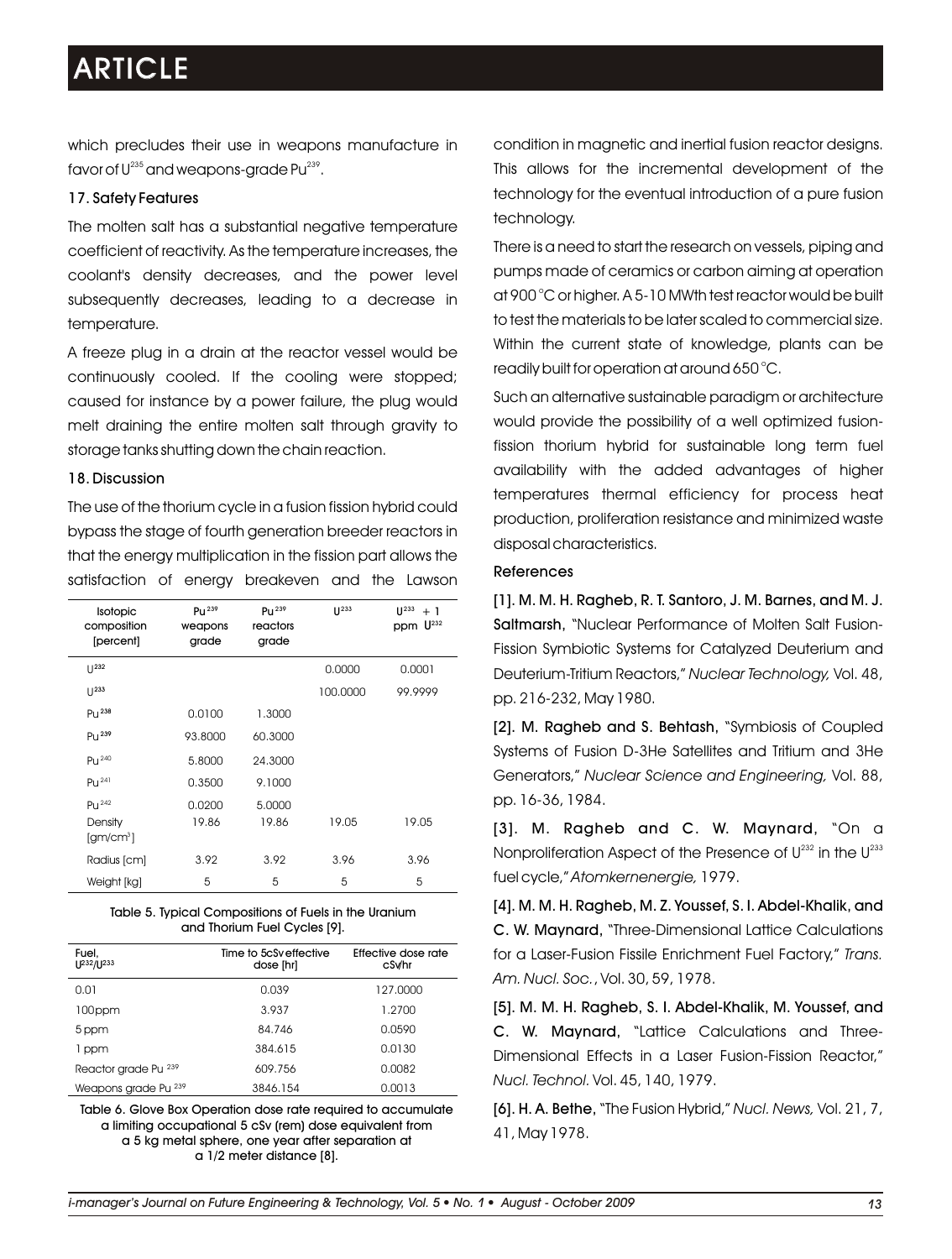which precludes their use in weapons manufacture in favor of  $\mathsf{U}^{^{235}}$  and weapons-grade Pu $^{^{239}}$ .

### 17. Safety Features

The molten salt has a substantial negative temperature coefficient of reactivity. As the temperature increases, the coolant's density decreases, and the power level subsequently decreases, leading to a decrease in temperature.

A freeze plug in a drain at the reactor vessel would be continuously cooled. If the cooling were stopped; caused for instance by a power failure, the plug would melt draining the entire molten salt through gravity to storage tanks shutting down the chain reaction.

### 18. Discussion

The use of the thorium cycle in a fusion fission hybrid could bypass the stage of fourth generation breeder reactors in that the energy multiplication in the fission part allows the satisfaction of energy breakeven and the Lawson

| Isotopic<br>composition<br>[percent]     | $P_{11}$ <sup>239</sup><br>weapons<br>grade | $P_{11}$ <sup>239</sup><br>reactors<br>grade | $11^{233}$ | $11^{233}$<br>$+1$<br>ppm U <sup>232</sup> |
|------------------------------------------|---------------------------------------------|----------------------------------------------|------------|--------------------------------------------|
|                                          |                                             |                                              | 0.0000     | 0.0001                                     |
| $11^{233}$                               |                                             |                                              | 100,0000   | 99.9999                                    |
| Pu <sup>238</sup>                        | 0.0100                                      | 1.3000                                       |            |                                            |
| $P_{U}$ <sup>239</sup>                   | 93,8000                                     | 60,3000                                      |            |                                            |
| Pu <sup>240</sup>                        | 5.8000                                      | 24.3000                                      |            |                                            |
| $PU^{241}$                               | 0.3500                                      | 9.1000                                       |            |                                            |
| $P11^{242}$                              | 0.0200                                      | 5.0000                                       |            |                                            |
| Density<br>$\left[\text{gm/cm}^3\right]$ | 19.86                                       | 19.86                                        | 19.05      | 19.05                                      |
| Radius [cm]                              | 3.92                                        | 3.92                                         | 3.96       | 3.96                                       |
| Weight [kg]                              | 5                                           | 5                                            | 5          | 5                                          |

| Table 5. Typical Compositions of Fuels in the Uranium |  |
|-------------------------------------------------------|--|
| and Thorium Fuel Cycles [9].                          |  |

| Fuel.<br>U <sup>232</sup> /U <sup>233</sup> | Time to 5cSveffective<br>dose [hr] | Effective dose rate<br>cSv/hr |
|---------------------------------------------|------------------------------------|-------------------------------|
| 0.01                                        | 0.039                              | 127.0000                      |
| 100ppm                                      | 3.937                              | 1.2700                        |
| 5 ppm                                       | 84.746                             | 0.0590                        |
| 1 ppm                                       | 384.615                            | 0.0130                        |
| Reactor grade Pu 239                        | 609.756                            | 0.0082                        |
| Weapons grade Pu 239                        | 3846.154                           | 0.0013                        |

Table 6. Glove Box Operation dose rate required to accumulate a limiting occupational 5 cSv (rem) dose equivalent from a 5 kg metal sphere, one year after separation at a 1/2 meter distance [8].

condition in magnetic and inertial fusion reactor designs. This allows for the incremental development of the technology for the eventual introduction of a pure fusion technology.

There is a need to start the research on vessels, piping and pumps made of ceramics or carbon aiming at operation o at 900 C or higher. A 5-10 MWth test reactor would be built to test the materials to be later scaled to commercial size. Within the current state of knowledge, plants can be readily built for operation at around 650 °C.

Such an alternative sustainable paradigm or architecture would provide the possibility of a well optimized fusionfission thorium hybrid for sustainable long term fuel availability with the added advantages of higher temperatures thermal efficiency for process heat production, proliferation resistance and minimized waste disposal characteristics.

### References

[1]. M. M. H. Ragheb, R. T. Santoro, J. M. Barnes, and M. J. Saltmarsh, "Nuclear Performance of Molten Salt Fusion-Fission Symbiotic Systems for Catalyzed Deuterium and Deuterium-Tritium Reactors," *Nuclear Technology,* Vol. 48, pp. 216-232, May 1980.

[2]. M. Ragheb and S. Behtash, "Symbiosis of Coupled Systems of Fusion D-3He Satellites and Tritium and 3He Generators," *Nuclear Science and Engineering,* Vol. 88, pp. 16-36, 1984.

[3]. M. Ragheb and C. W. Maynard, "On a Nonproliferation Aspect of the Presence of  $U^{232}$  in the  $U^{233}$ fuel cycle," *Atomkernenergie,* 1979.

[4]. M. M. H. Ragheb, M. Z. Youssef, S. I. Abdel-Khalik, and C. W. Maynard, "Three-Dimensional Lattice Calculations for a Laser-Fusion Fissile Enrichment Fuel Factory," *Trans. Am. Nucl. Soc.*, Vol. 30, 59, 1978.

[5]. M. M. H. Ragheb, S. I. Abdel-Khalik, M. Youssef, and C. W. Maynard, "Lattice Calculations and Three-Dimensional Effects in a Laser Fusion-Fission Reactor," *Nucl. Technol.* Vol. 45, 140, 1979.

[6]. H. A. Bethe, "The Fusion Hybrid," *Nucl. News,* Vol. 21, 7, 41, May 1978.